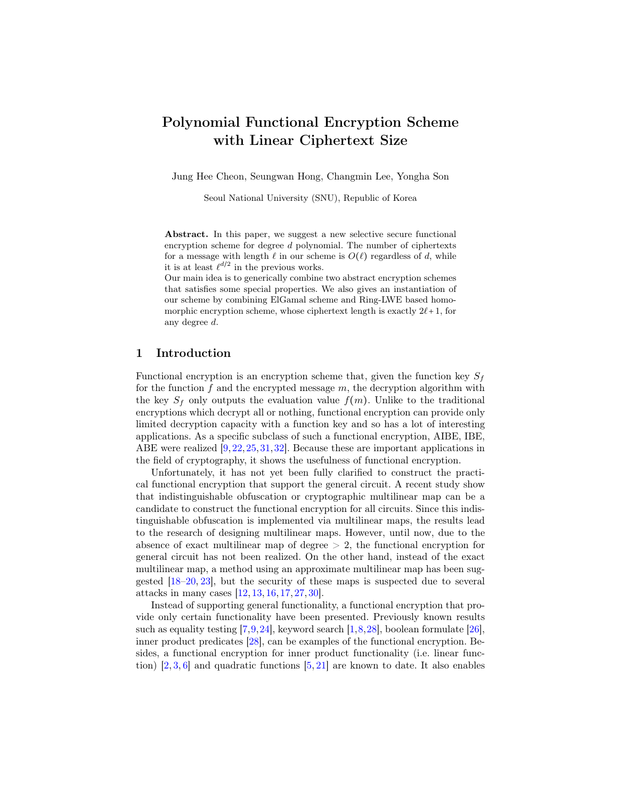# Polynomial Functional Encryption Scheme with Linear Ciphertext Size

Jung Hee Cheon, Seungwan Hong, Changmin Lee, Yongha Son

Seoul National University (SNU), Republic of Korea

Abstract. In this paper, we suggest a new selective secure functional encryption scheme for degree  $d$  polynomial. The number of ciphertexts for a message with length  $\ell$  in our scheme is  $O(\ell)$  regardless of d, while it is at least  $\ell^{d/2}$  in the previous works.

Our main idea is to generically combine two abstract encryption schemes that satisfies some special properties. We also gives an instantiation of our scheme by combining ElGamal scheme and Ring-LWE based homomorphic encryption scheme, whose ciphertext length is exactly  $2\ell+1$ , for any degree d.

#### 1 Introduction

Functional encryption is an encryption scheme that, given the function key  $S_f$ for the function f and the encrypted message  $m$ , the decryption algorithm with the key  $S_f$  only outputs the evaluation value  $f(m)$ . Unlike to the traditional encryptions which decrypt all or nothing, functional encryption can provide only limited decryption capacity with a function key and so has a lot of interesting applications. As a specific subclass of such a functional encryption, AIBE, IBE, ABE were realized [\[9,](#page-18-0)[22,](#page-19-0)[25,](#page-19-1)[31,](#page-19-2)[32\]](#page-19-3). Because these are important applications in the field of cryptography, it shows the usefulness of functional encryption.

Unfortunately, it has not yet been fully clarified to construct the practical functional encryption that support the general circuit. A recent study show that indistinguishable obfuscation or cryptographic multilinear map can be a candidate to construct the functional encryption for all circuits. Since this indistinguishable obfuscation is implemented via multilinear maps, the results lead to the research of designing multilinear maps. However, until now, due to the absence of exact multilinear map of degree  $> 2$ , the functional encryption for general circuit has not been realized. On the other hand, instead of the exact multilinear map, a method using an approximate multilinear map has been suggested [\[18–](#page-19-4)[20,](#page-19-5) [23\]](#page-19-6), but the security of these maps is suspected due to several attacks in many cases [\[12,](#page-18-1) [13,](#page-18-2) [16,](#page-18-3) [17,](#page-18-4) [27,](#page-19-7) [30\]](#page-19-8).

Instead of supporting general functionality, a functional encryption that provide only certain functionality have been presented. Previously known results such as equality testing  $[7,9,24]$  $[7,9,24]$  $[7,9,24]$ , keyword search  $[1,8,28]$  $[1,8,28]$  $[1,8,28]$ , boolean formulate  $[26]$ , inner product predicates [\[28\]](#page-19-10), can be examples of the functional encryption. Besides, a functional encryption for inner product functionality (i.e. linear function)  $[2, 3, 6]$  $[2, 3, 6]$  $[2, 3, 6]$  $[2, 3, 6]$  $[2, 3, 6]$  and quadratic functions  $[5, 21]$  $[5, 21]$  $[5, 21]$  are known to date. It also enables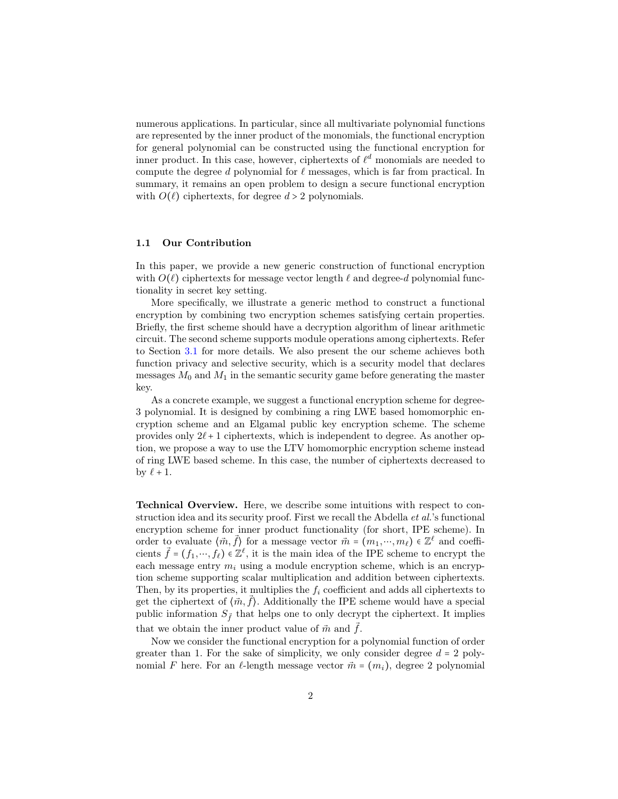numerous applications. In particular, since all multivariate polynomial functions are represented by the inner product of the monomials, the functional encryption for general polynomial can be constructed using the functional encryption for inner product. In this case, however, ciphertexts of  $\ell^d$  monomials are needed to compute the degree  $d$  polynomial for  $\ell$  messages, which is far from practical. In summary, it remains an open problem to design a secure functional encryption with  $O(\ell)$  ciphertexts, for degree  $d > 2$  polynomials.

#### 1.1 Our Contribution

In this paper, we provide a new generic construction of functional encryption with  $O(\ell)$  ciphertexts for message vector length  $\ell$  and degree-d polynomial functionality in secret key setting.

More specifically, we illustrate a generic method to construct a functional encryption by combining two encryption schemes satisfying certain properties. Briefly, the first scheme should have a decryption algorithm of linear arithmetic circuit. The second scheme supports module operations among ciphertexts. Refer to Section [3.1](#page-5-0) for more details. We also present the our scheme achieves both function privacy and selective security, which is a security model that declares messages  $M_0$  and  $M_1$  in the semantic security game before generating the master key.

As a concrete example, we suggest a functional encryption scheme for degree-3 polynomial. It is designed by combining a ring LWE based homomorphic encryption scheme and an Elgamal public key encryption scheme. The scheme provides only  $2\ell + 1$  ciphertexts, which is independent to degree. As another option, we propose a way to use the LTV homomorphic encryption scheme instead of ring LWE based scheme. In this case, the number of ciphertexts decreased to by  $\ell + 1$ .

Technical Overview. Here, we describe some intuitions with respect to construction idea and its security proof. First we recall the Abdella *et al.*'s functional encryption scheme for inner product functionality (for short, IPE scheme). In order to evaluate  $\langle \vec{m}, \vec{f} \rangle$  for a message vector  $\vec{m} = (m_1, \dots, m_\ell) \in \mathbb{Z}^\ell$  and coefficients  $\vec{f} = (f_1, \dots, f_\ell) \in \mathbb{Z}^\ell$ , it is the main idea of the IPE scheme to encrypt the each message entry  $m_i$  using a module encryption scheme, which is an encryption scheme supporting scalar multiplication and addition between ciphertexts. Then, by its properties, it multiplies the  $f_i$  coefficient and adds all ciphertexts to get the ciphertext of  $\langle \vec{m}, \vec{f} \rangle$ . Additionally the IPE scheme would have a special public information  $S_{\vec{f}}$  that helps one to only decrypt the ciphertext. It implies that we obtain the inner product value of  $\vec{m}$  and  $\vec{f}$ .

Now we consider the functional encryption for a polynomial function of order greater than 1. For the sake of simplicity, we only consider degree  $d = 2$  polynomial F here. For an  $\ell$ -length message vector  $\vec{m} = (m_i)$ , degree 2 polynomial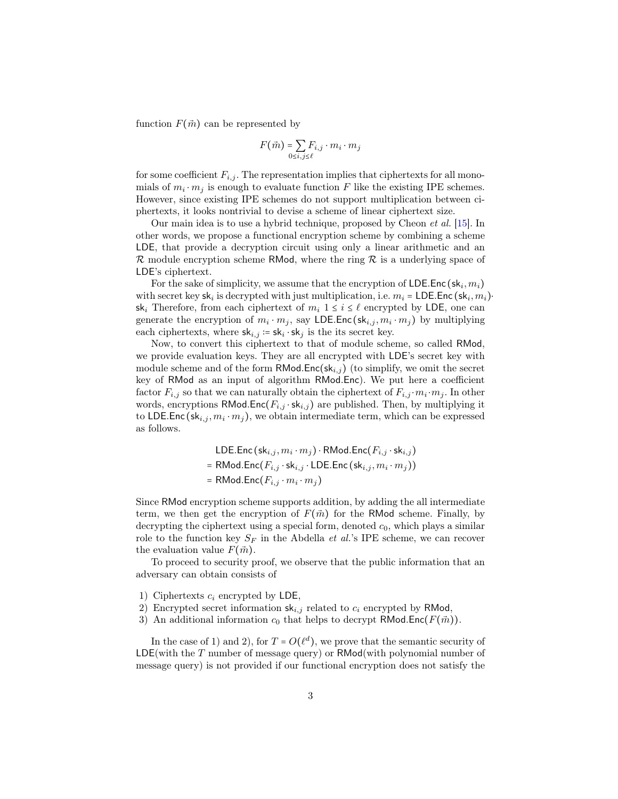function  $F(\vec{m})$  can be represented by

$$
F(\vec{m}) = \sum_{0 \le i,j \le \ell} F_{i,j} \cdot m_i \cdot m_j
$$

for some coefficient  $F_{i,j}$ . The representation implies that ciphertexts for all monomials of  $m_i \cdot m_j$  is enough to evaluate function F like the existing IPE schemes. However, since existing IPE schemes do not support multiplication between ciphertexts, it looks nontrivial to devise a scheme of linear ciphertext size.

Our main idea is to use a hybrid technique, proposed by Cheon et al. [\[15\]](#page-18-11). In other words, we propose a functional encryption scheme by combining a scheme LDE, that provide a decryption circuit using only a linear arithmetic and an  $\mathcal R$  module encryption scheme RMod, where the ring  $\mathcal R$  is a underlying space of LDE's ciphertext.

For the sake of simplicity, we assume that the encryption of  $\mathsf{LDE}.\mathsf{Enc}\left(\mathsf{sk}_i, m_i\right)$ with secret key  $\mathsf{sk}_i$  is decrypted with just multiplication, i.e.  $m_i = \mathsf{LDE}.\mathsf{Enc}\left(\mathsf{sk}_i, m_i\right)$ sk<sub>i</sub> Therefore, from each ciphertext of  $m_i$   $1 \leq i \leq \ell$  encrypted by LDE, one can generate the encryption of  $m_i \cdot m_j$ , say LDE. Enc (sk<sub>i,j</sub>,  $m_i \cdot m_j$ ) by multiplying each ciphertexts, where  $\mathsf{sk}_{i,j} \coloneqq \mathsf{sk}_i \cdot \mathsf{sk}_j$  is the its secret key.

Now, to convert this ciphertext to that of module scheme, so called RMod, we provide evaluation keys. They are all encrypted with LDE's secret key with module scheme and of the form  $RMod.Enc(sk_{i,j})$  (to simplify, we omit the secret key of RMod as an input of algorithm RMod.Enc). We put here a coefficient factor  $F_{i,j}$  so that we can naturally obtain the ciphertext of  $F_{i,j} \cdot m_i \cdot m_j$ . In other words, encryptions RMod.Enc( $F_{i,j} \cdot sk_{i,j}$ ) are published. Then, by multiplying it to LDE.Enc (s $k_{i,j}, m_i \cdot m_j$ ), we obtain intermediate term, which can be expressed as follows.

$$
LDE.Enc(s_{i,j}, m_i \cdot m_j) \cdot RMod.Enc(F_{i,j} \cdot sk_{i,j})
$$
  
= RMod.Enc(F\_{i,j} \cdot sk\_{i,j} \cdot LDE.Enc(s\_{i,j}, m\_i \cdot m\_j))  
= RMod.Enc(F\_{i,j} \cdot m\_i \cdot m\_j)

Since RMod encryption scheme supports addition, by adding the all intermediate term, we then get the encryption of  $F(\vec{m})$  for the RMod scheme. Finally, by decrypting the ciphertext using a special form, denoted  $c_0$ , which plays a similar role to the function key  $S_F$  in the Abdella *et al.*'s IPE scheme, we can recover the evaluation value  $F(\vec{m})$ .

To proceed to security proof, we observe that the public information that an adversary can obtain consists of

- 1) Ciphertexts  $c_i$  encrypted by LDE,
- 2) Encrypted secret information  $sk_{i,j}$  related to  $c_i$  encrypted by RMod,
- 3) An additional information  $c_0$  that helps to decrypt RMod.Enc( $F(\vec{m})$ ).

In the case of 1) and 2), for  $T = O(\ell^d)$ , we prove that the semantic security of LDE(with the T number of message query) or RMod(with polynomial number of message query) is not provided if our functional encryption does not satisfy the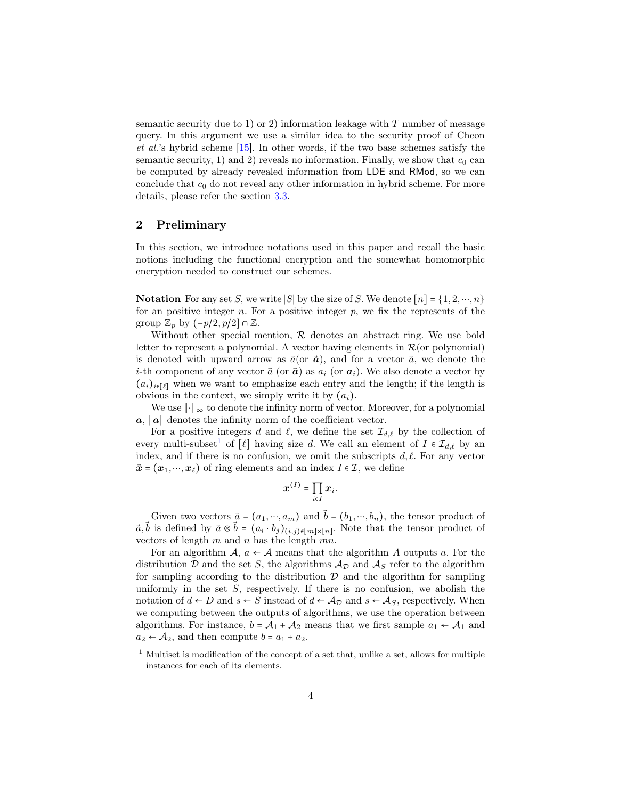semantic security due to 1) or 2) information leakage with  $T$  number of message query. In this argument we use a similar idea to the security proof of Cheon et al.'s hybrid scheme [\[15\]](#page-18-11). In other words, if the two base schemes satisfy the semantic security, 1) and 2) reveals no information. Finally, we show that  $c_0$  can be computed by already revealed information from LDE and RMod, so we can conclude that  $c_0$  do not reveal any other information in hybrid scheme. For more details, please refer the section [3.3.](#page-9-0)

# 2 Preliminary

In this section, we introduce notations used in this paper and recall the basic notions including the functional encryption and the somewhat homomorphic encryption needed to construct our schemes.

**Notation** For any set S, we write |S| by the size of S. We denote  $[n] = \{1, 2, \dots, n\}$ for an positive integer  $n$ . For a positive integer  $p$ , we fix the represents of the group  $\mathbb{Z}_p$  by  $(-p/2, p/2] \cap \mathbb{Z}$ .

Without other special mention, R denotes an abstract ring. We use bold letter to represent a polynomial. A vector having elements in  $\mathcal{R}$  (or polynomial) is denoted with upward arrow as  $\vec{a}$ (or  $\vec{a}$ ), and for a vector  $\vec{a}$ , we denote the *i*-th component of any vector  $\vec{a}$  (or  $\vec{a}$ ) as  $a_i$  (or  $a_i$ ). We also denote a vector by  $(a_i)_{i\in[\ell]}$  when we want to emphasize each entry and the length; if the length is obvious in the context, we simply write it by  $(a_i)$ .

We use ∥⋅∥<sup>∞</sup> to denote the infinity norm of vector. Moreover, for a polynomial  $a, ||a||$  denotes the infinity norm of the coefficient vector.

For a positive integers d and  $\ell$ , we define the set  $\mathcal{I}_{d,\ell}$  by the collection of every multi-subset<sup>[1](#page-3-0)</sup> of  $[\ell]$  having size d. We call an element of  $I \in \mathcal{I}_{d,\ell}$  by an index, and if there is no confusion, we omit the subscripts  $d, \ell$ . For any vector  $\vec{x} = (\mathbf{x}_1, \dots, \mathbf{x}_\ell)$  of ring elements and an index  $I \in \mathcal{I}$ , we define

$$
\boldsymbol{x}^{(I)} = \prod_{i \in I} \boldsymbol{x}_i.
$$

Given two vectors  $\vec{a} = (a_1, \dots, a_m)$  and  $\vec{b} = (b_1, \dots, b_n)$ , the tensor product of  $\vec{a}, \vec{b}$  is defined by  $\vec{a} \otimes \vec{b} = (a_i \cdot b_j)_{(i,j) \in [m] \times [n]}$ . Note that the tensor product of vectors of length  $m$  and  $n$  has the length  $mn$ .

For an algorithm  $A, a \leftarrow A$  means that the algorithm A outputs a. For the distribution D and the set S, the algorithms  $A_{\mathcal{D}}$  and  $A_{\mathcal{S}}$  refer to the algorithm for sampling according to the distribution  $\mathcal D$  and the algorithm for sampling uniformly in the set  $S$ , respectively. If there is no confusion, we abolish the notation of  $d \leftarrow D$  and  $s \leftarrow S$  instead of  $d \leftarrow A_D$  and  $s \leftarrow A_S$ , respectively. When we computing between the outputs of algorithms, we use the operation between algorithms. For instance,  $b = A_1 + A_2$  means that we first sample  $a_1 \leftarrow A_1$  and  $a_2 \leftarrow A_2$ , and then compute  $b = a_1 + a_2$ .

<span id="page-3-0"></span> $^{\rm 1}$  Multiset is modification of the concept of a set that, unlike a set, allows for multiple instances for each of its elements.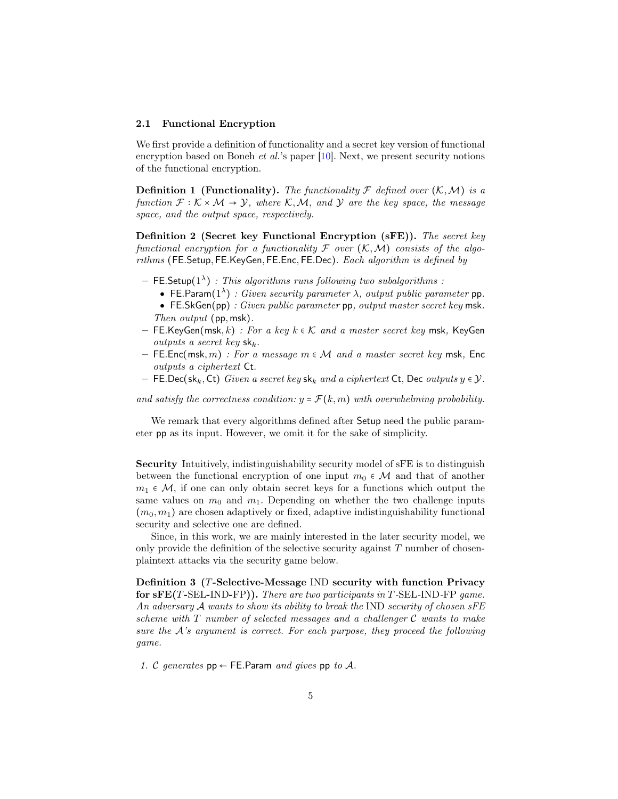#### 2.1 Functional Encryption

We first provide a definition of functionality and a secret key version of functional encryption based on Boneh *et al.*'s paper  $[10]$ . Next, we present security notions of the functional encryption.

**Definition 1 (Functionality).** The functionality  $\mathcal F$  defined over  $(\mathcal K, \mathcal M)$  is a function  $\mathcal{F}: \mathcal{K} \times \mathcal{M} \to \mathcal{Y}$ , where  $\mathcal{K}, \mathcal{M}$ , and  $\mathcal{Y}$  are the key space, the message space, and the output space, respectively.

Definition 2 (Secret key Functional Encryption (sFE)). The secret key functional encryption for a functionality  $\mathcal F$  over  $(\mathcal K,\mathcal M)$  consists of the algorithms (FE.Setup, FE.KeyGen, FE.Enc, FE.Dec). Each algorithm is defined by

- $-$  FE.Setup( $1^{\lambda}$ ) : This algorithms runs following two subalgorithms :
	- FE.Param $(1^{\lambda})$ : Given security parameter  $\lambda$ , output public parameter pp.
	- FE.SkGen(pp) : Given public parameter pp, output master secret key msk. Then output (pp, msk).
- FE.KeyGen(msk, k): For a key  $k \in \mathcal{K}$  and a master secret key msk, KeyGen outputs a secret key  $sk_k$ .
- FE.Enc(msk, m) : For a message  $m \in \mathcal{M}$  and a master secret key msk, Enc outputs a ciphertext Ct.
- FE.Dec(sk<sub>k</sub>, Ct) Given a secret key sk<sub>k</sub> and a ciphertext Ct, Dec outputs  $y \in \mathcal{Y}$ .

and satisfy the correctness condition:  $y = \mathcal{F}(k,m)$  with overwhelming probability.

We remark that every algorithms defined after Setup need the public parameter pp as its input. However, we omit it for the sake of simplicity.

Security Intuitively, indistinguishability security model of sFE is to distinguish between the functional encryption of one input  $m_0 \in \mathcal{M}$  and that of another  $m_1 \in \mathcal{M}$ , if one can only obtain secret keys for a functions which output the same values on  $m_0$  and  $m_1$ . Depending on whether the two challenge inputs  $(m_0, m_1)$  are chosen adaptively or fixed, adaptive indistinguishability functional security and selective one are defined.

Since, in this work, we are mainly interested in the later security model, we only provide the definition of the selective security against  $T$  number of chosenplaintext attacks via the security game below.

<span id="page-4-0"></span>Definition 3 (T-Selective-Message IND security with function Privacy for sFE(T-SEL-IND-FP)). There are two participants in T-SEL-IND-FP game. An adversary A wants to show its ability to break the IND security of chosen sFE scheme with  $T$  number of selected messages and a challenger  $C$  wants to make sure the A's argument is correct. For each purpose, they proceed the following game.

1. C generates  $pp \leftarrow$  FE. Param and gives pp to A.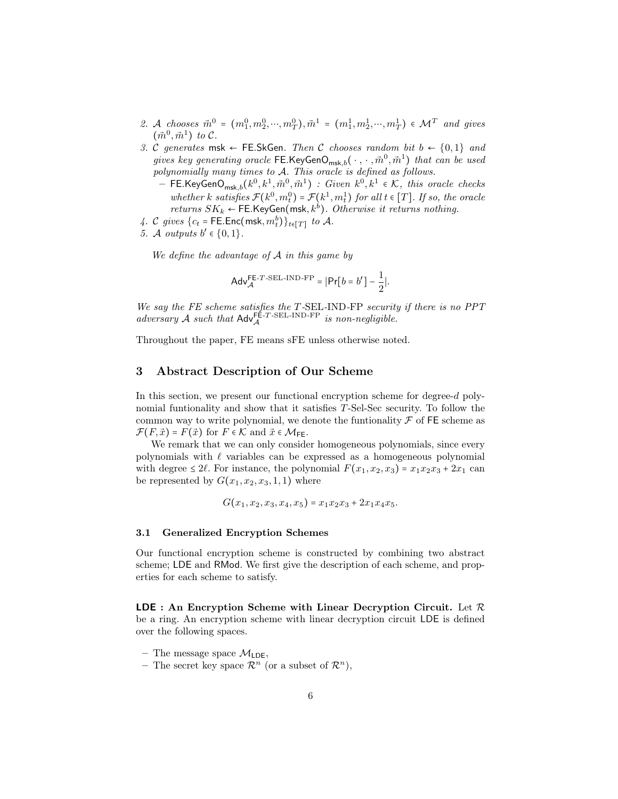- 2. A chooses  $\vec{m}^0 = (m_1^0, m_2^0, \cdots, m_T^0), \vec{m}^1 = (m_1^1, m_2^1, \cdots, m_T^1) \in \mathcal{M}^T$  and gives  $(\vec{m}^0, \vec{m}^1)$  to C.
- 3. C generates msk  $\leftarrow$  FE.SkGen. Then C chooses random bit  $b \leftarrow \{0,1\}$  and gives key generating oracle  $\mathsf{FE}.\mathsf{KeyGenO}_{\mathsf{msk},b}(\,\cdot\,,\,\cdot\,,\vec{m}^0,\vec{m}^1)$  that can be used polynomially many times to A. This oracle is defined as follows.
	- $-$  FE.KeyGen $\mathsf{O}_{{\sf msk},b}(k^0,k^1,\vec{m}^0,\vec{m}^1)$  :  $Given\,\, k^0,k^1\,\, \epsilon\,\,\mathcal{K},\,\,this\,\,oracle\,\, checks$ whether k satisfies  $\mathcal{F}(k^0, m_t^0) = \mathcal{F}(k^1, m_t^1)$  for all  $t \in [T]$ . If so, the oracle returns  $SK_k \leftarrow$  FE.KeyGen(msk,  $k^b$ ). Otherwise it returns nothing.
- 4. C gives  $\{c_t = \text{FE}.\text{Enc}(\text{msk}, m_t^b)\}_{t \in [T]}$  to A.
- 5. A outputs  $b' \in \{0, 1\}$ .

We define the advantage of  $A$  in this game by

$$
\mathsf{Adv}_{\mathcal{A}}^{\mathsf{FE}\text{-}\mathit{T}\text{-}\mathsf{SEL}\text{-}\mathsf{IND}\text{-}\mathsf{FP}} = |\mathsf{Pr}[b = b'] - \frac{1}{2}|.
$$

We say the FE scheme satisfies the T-SEL-IND-FP security if there is no PPT adversary A such that  $\mathsf{Adv}_{\mathcal{A}}^{\mathsf{FE-T-SEL-IND-FP}}$  is non-negligible.

Throughout the paper, FE means sFE unless otherwise noted.

# 3 Abstract Description of Our Scheme

In this section, we present our functional encryption scheme for degree-d polynomial funtionality and show that it satisfies T-Sel-Sec security. To follow the common way to write polynomial, we denote the funtionality  $\mathcal F$  of FE scheme as  $\mathcal{F}(F,\vec{x}) = F(\vec{x})$  for  $F \in \mathcal{K}$  and  $\vec{x} \in \mathcal{M}_{FE}$ .

We remark that we can only consider homogeneous polynomials, since every polynomials with  $\ell$  variables can be expressed as a homogeneous polynomial with degree  $\leq 2\ell$ . For instance, the polynomial  $F(x_1, x_2, x_3) = x_1x_2x_3 + 2x_1$  can be represented by  $G(x_1, x_2, x_3, 1, 1)$  where

 $G(x_1, x_2, x_3, x_4, x_5) = x_1x_2x_3 + 2x_1x_4x_5.$ 

#### <span id="page-5-0"></span>3.1 Generalized Encryption Schemes

Our functional encryption scheme is constructed by combining two abstract scheme; LDE and RMod. We first give the description of each scheme, and properties for each scheme to satisfy.

**LDE** : An Encryption Scheme with Linear Decryption Circuit. Let  $\mathcal{R}$ be a ring. An encryption scheme with linear decryption circuit LDE is defined over the following spaces.

– The message space  $\mathcal{M}_{\text{LDE}}$ ,

- The secret key space  $\mathcal{R}^n$  (or a subset of  $\mathcal{R}^n$ ),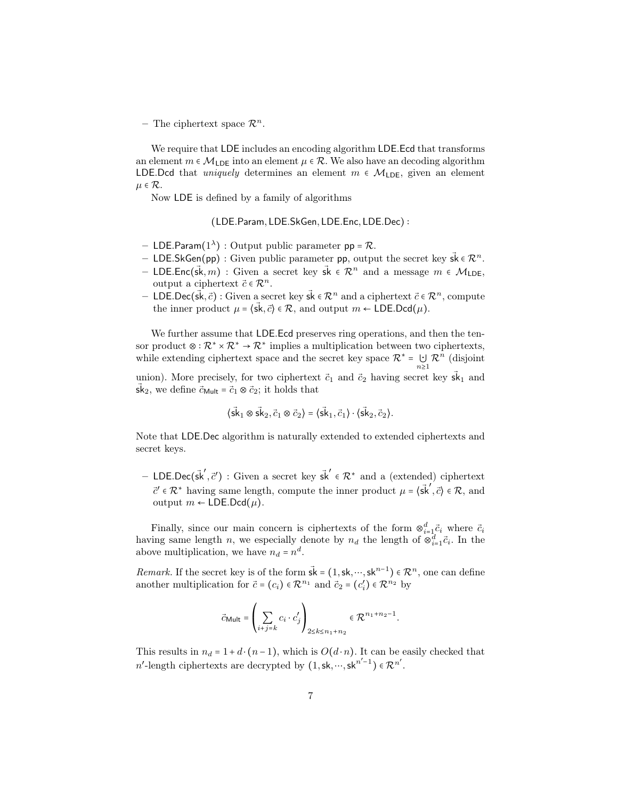– The ciphertext space  $\mathcal{R}^n$ .

We require that LDE includes an encoding algorithm LDE.Ecd that transforms an element  $m \in \mathcal{M}_{\text{LDE}}$  into an element  $\mu \in \mathcal{R}$ . We also have an decoding algorithm LDE.Dcd that *uniquely* determines an element  $m \in \mathcal{M}_{\text{LDE}}$ , given an element  $\mu \in \mathcal{R}$ .

Now LDE is defined by a family of algorithms

(LDE.Param, LDE.SkGen, LDE.Enc, LDE.Dec) ∶

- LDE.Param $(1^{\lambda})$ : Output public parameter  $pp = R$ .
- LDE.SkGen(pp) : Given public parameter pp, output the secret key  $\vec{sk} \in \mathbb{R}^n$ .
- LDE.Enc( $\vec{sk}, m$ ) : Given a secret key  $\vec{sk} \in \mathcal{R}^n$  and a message  $m \in \mathcal{M}_{\mathsf{LDE}}$ , output a ciphertext  $\vec{c} \in \mathcal{R}^n$ .
- LDE.Dec(sk,  $\vec{c}$ ) : Given a secret key sk ∈  $\mathcal{R}^n$  and a ciphertext  $\vec{c}$  ∈  $\mathcal{R}^n$ , compute the inner product  $\mu = \langle \vec{s}, \vec{c} \rangle \in \mathcal{R}$ , and output  $m \leftarrow \text{LDE}.\text{Dcd}(\mu)$ .

We further assume that LDE. Ecd preserves ring operations, and then the tensor product  $\otimes : \mathbb{R}^* \times \mathbb{R}^* \to \mathbb{R}^*$  implies a multiplication between two ciphertexts, while extending ciphertext space and the secret key space  $\mathcal{R}^* = \bigcup$  $\mathcal{R}^n$  (disjoint

 $n\geq 1$ union). More precisely, for two ciphertext  $\vec{c}_1$  and  $\vec{c}_2$  having secret key  $\vec{s}k_1$  and sk<sub>2</sub>, we define  $\vec{c}_{\text{Mult}} = \vec{c}_1 \otimes \vec{c}_2$ ; it holds that

$$
\langle \vec{sk}_1 \otimes \vec{sk}_2, \vec{c}_1 \otimes \vec{c}_2 \rangle = \langle \vec{sk}_1, \vec{c}_1 \rangle \cdot \langle \vec{sk}_2, \vec{c}_2 \rangle.
$$

Note that LDE.Dec algorithm is naturally extended to extended ciphertexts and secret keys.

– LDE.Dec( $\vec{sk}', \vec{c}'$ ) : Given a secret key  $\vec{sk}' \in \mathcal{R}^*$  and a (extended) ciphertext  $\vec{c}' \in \mathcal{R}^*$  having same length, compute the inner product  $\mu = \langle \vec{\mathsf{s}} \vec{\mathsf{k}}', \vec{\mathsf{c}} \rangle \in \mathcal{R}$ , and output *m* ← LDE.Dcd(*μ*).

Finally, since our main concern is ciphertexts of the form  $\otimes_{i=1}^d \vec{c}_i$  where  $\vec{c}_i$ having same length n, we especially denote by  $n_d$  the length of  $\otimes_{i=1}^d \vec{c}_i$ . In the above multiplication, we have  $n_d = n^d$ .

Remark. If the secret key is of the form  $\vec{sk} = (1, sk, \dots, sk^{n-1}) \in \mathbb{R}^n$ , one can define another multiplication for  $\vec{c} = (c_i) \in \mathcal{R}^{n_1}$  and  $\vec{c}_2 = (c'_i) \in \mathcal{R}^{n_2}$  by

$$
\vec{c}_{\text{Mult}} = \left(\sum_{i+j=k} c_i \cdot c'_j\right)_{2 \le k \le n_1 + n_2} \in \mathcal{R}^{n_1 + n_2 - 1}.
$$

This results in  $n_d = 1 + d \cdot (n-1)$ , which is  $O(d \cdot n)$ . It can be easily checked that n'-length ciphertexts are decrypted by  $(1, \mathsf{sk}, \dots, \mathsf{sk}^{n'-1}) \in \mathbb{R}^{n'}$ .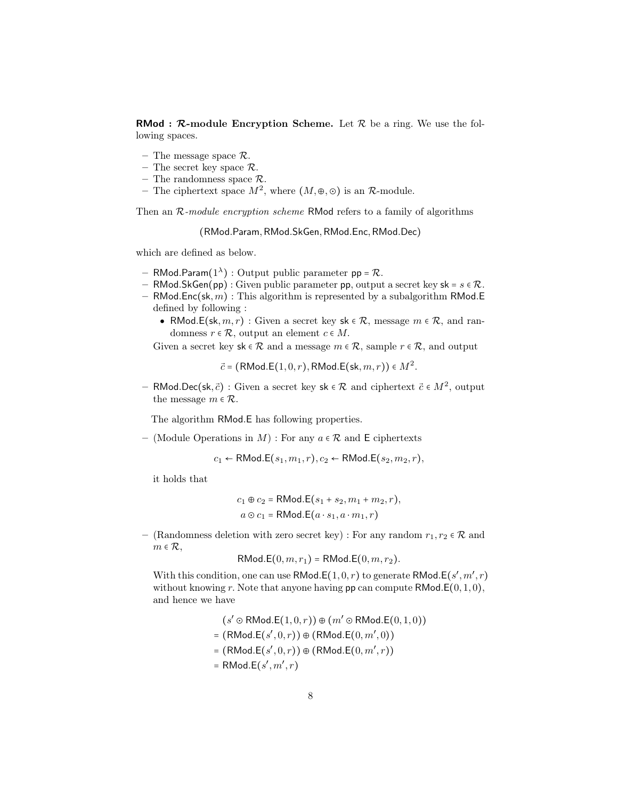**RMod :**  $\mathcal{R}$ **-module Encryption Scheme.** Let  $\mathcal{R}$  be a ring. We use the following spaces.

- The message space  $\mathcal{R}$ .
- The secret key space  $\mathcal{R}$ .
- The randomness space  $\mathcal{R}$ .
- The ciphertext space  $M^2$ , where  $(M, \oplus, \odot)$  is an  $\mathcal{R}$ -module.

Then an  $R$ -module encryption scheme RMod refers to a family of algorithms

(RMod.Param,RMod.SkGen,RMod.Enc,RMod.Dec)

which are defined as below.

- RMod.Param $(1^{\lambda})$ : Output public parameter  $pp = R$ .
- RMod.SkGen(pp) : Given public parameter pp, output a secret key  $sk = s \in \mathcal{R}$ .
- RMod.Enc(sk,  $m$ ) : This algorithm is represented by a subalgorithm RMod.E defined by following :
	- RMod.E(sk,  $m, r$ ) : Given a secret key sk  $\in \mathcal{R}$ , message  $m \in \mathcal{R}$ , and randomness  $r \in \mathcal{R}$ , output an element  $c \in M$ .

Given a secret key sk  $\in \mathcal{R}$  and a message  $m \in \mathcal{R}$ , sample  $r \in \mathcal{R}$ , and output

 $\vec{c}$  = (RMod.E $(1,0,r)$ , RMod.E $(\textsf{sk}, m, r)) \in M^2$ .

– RMod.Dec(sk,  $\vec{c}$ ) : Given a secret key sk ∈ R and ciphertext  $\vec{c} \in M^2$ , output the message  $m \in \mathcal{R}$ .

The algorithm RMod.E has following properties.

– (Module Operations in  $M$ ) : For any  $a \in \mathcal{R}$  and E ciphertexts

 $c_1 \leftarrow \mathsf{RMod}.\mathsf{E}(s_1, m_1, r), c_2 \leftarrow \mathsf{RMod}.\mathsf{E}(s_2, m_2, r),$ 

it holds that

$$
c_1 \oplus c_2 = \mathsf{RMod}.\mathsf{E}(s_1 + s_2, m_1 + m_2, r),
$$
  

$$
a \odot c_1 = \mathsf{RMod}.\mathsf{E}(a \cdot s_1, a \cdot m_1, r)
$$

– (Randomness deletion with zero secret key) : For any random  $r_1, r_2 \in \mathcal{R}$  and  $m \in \mathcal{R}$ ,

$$
RMod.E(0, m, r1) = RMod.E(0, m, r2).
$$

With this condition, one can use  $\mathsf{RMod}\text{.}\mathsf{E}(1,0,r)$  to generate  $\mathsf{RMod}\text{.}\mathsf{E}(s',m',r)$ without knowing r. Note that anyone having  $pp$  can compute  $\mathsf{RMod}.\mathsf{E}(0,1,0),$ and hence we have

$$
(s' \odot \text{RMod.E}(1,0,r)) \oplus (m' \odot \text{RMod.E}(0,1,0))
$$
  
= (RMod.E(s',0,r))  $\oplus$  (RMod.E(0,m',0))  
= (RMod.E(s',0,r))  $\oplus$  (RMod.E(0,m',r))  
= RMod.E(s',m',r)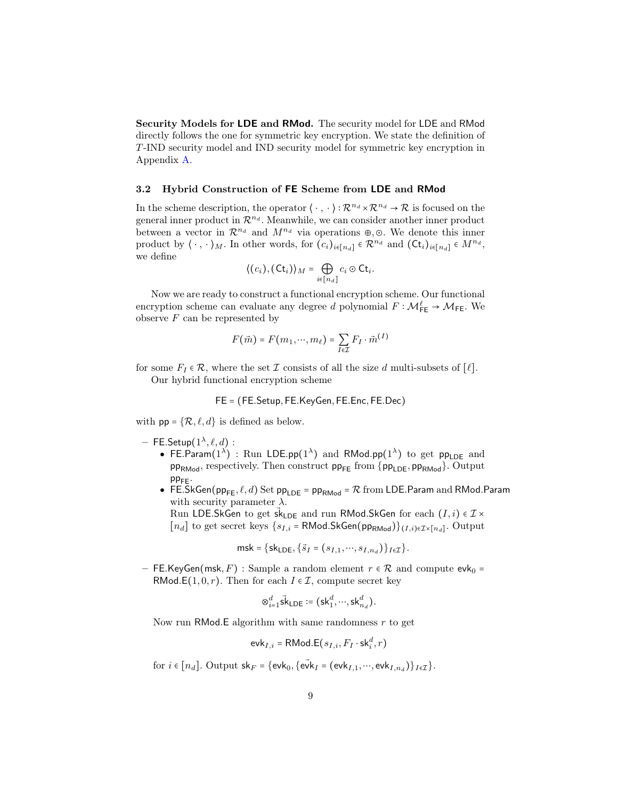Security Models for LDE and RMod. The security model for LDE and RMod directly follows the one for symmetric key encryption. We state the definition of T-IND security model and IND security model for symmetric key encryption in Appendix [A.](#page-20-0)

#### <span id="page-8-0"></span>3.2 Hybrid Construction of FE Scheme from LDE and RMod

In the scheme description, the operator  $\langle \cdot, \cdot \rangle : \mathcal{R}^{n_d} \times \mathcal{R}^{n_d} \to \mathcal{R}$  is focused on the general inner product in  $\mathcal{R}^{n_d}$ . Meanwhile, we can consider another inner product between a vector in  $\mathcal{R}^{n_d}$  and  $M^{n_d}$  via operations ⊕,⊙. We denote this inner product by  $\langle \cdot, \cdot \rangle_M$ . In other words, for  $(c_i)_{i \in [n_d]} \in \mathcal{R}^{n_d}$  and  $(\mathsf{C} \mathsf{t}_i)_{i \in [n_d]} \in M^{n_d}$ , we define

$$
\langle (c_i), (\mathsf{C} \mathsf{t}_i) \rangle_M = \bigoplus_{i \in [n_d]} c_i \odot \mathsf{C} \mathsf{t}_i.
$$

Now we are ready to construct a functional encryption scheme. Our functional encryption scheme can evaluate any degree d polynomial  $F : \mathcal{M}_{\mathsf{FE}}^{\ell} \to \mathcal{M}_{\mathsf{FE}}$ . We observe  $F$  can be represented by

$$
F(\vec{m}) = F(m_1, \cdots, m_\ell) = \sum_{I \in \mathcal{I}} F_I \cdot \vec{m}^{(I)}
$$

for some  $F_I \in \mathcal{R}$ , where the set  $\mathcal I$  consists of all the size d multi-subsets of  $[\ell]$ . Our hybrid functional encryption scheme

$$
FE = (FE. Setup, FE. Key Gen, FE. Enc, FE. Dec)
$$

with  $pp = \{R, \ell, d\}$  is defined as below.

- $-$  FE.Setup $(1^{\lambda}, \ell, d)$  :
	- FE.Param(1<sup> $\lambda$ </sup>) : Run LDE.pp(1<sup> $\lambda$ </sup>) and RMod.pp(1<sup> $\lambda$ </sup>) to get pp<sub>LDE</sub> and  $pp<sub>RMod</sub>$ , respectively. Then construct  $pp<sub>FE</sub>$  from  ${pp<sub>LDE</sub>$ ,  $pp<sub>RMod</sub>}$ . Output  $pp_{FF}$ .
	- FE.SkGen( $pp_{FE}, \ell, d$ ) Set  $pp_{LDE} = pp_{RMod} = \mathcal{R}$  from LDE.Param and RMod.Param with security parameter  $\lambda$ .

Run LDE.SkGen to get  $\vec{sk}_{\text{LDE}}$  and run RMod.SkGen for each  $(I, i) \in \mathcal{I} \times$ 

 $[n_d]$  to get secret keys  $\{s_{I,i} = \textsf{RMod.SkGen}(pp_{\textsf{RMod}})\}_{(I,i)\in\mathcal{I}\times[n_d]}$ . Output

$$
\mathsf{msk} = \{\mathsf{sk}_{\mathsf{LDE}}, \{\vec{s}_I = (s_{I,1}, \cdots, s_{I,n_d})\}_{I \in \mathcal{I}}\}.
$$

– FE.KeyGen(msk, F) : Sample a random element  $r \in \mathcal{R}$  and compute evk<sub>0</sub> = RMod.E(1,0, r). Then for each  $I \in \mathcal{I}$ , compute secret key

$$
\otimes_{i=1}^d \vec{\mathsf{sk}}_{\mathsf{LDE}} \coloneqq (\mathsf{sk}_1^d, \cdots, \mathsf{sk}_{n_d}^d).
$$

Now run RMod.E algorithm with same randomness  $r$  to get

$$
\mathsf{evk}_{I,i} = \mathsf{RMod}.\mathsf{E}(s_{I,i},F_I\cdot\mathsf{sk}_i^d,r)
$$

for  $i \in [n_d]$ . Output  $\mathsf{sk}_F = \{ \mathsf{evk}_0, \{ \mathsf{evk}_I = (\mathsf{evk}_{I,1}, \dots, \mathsf{evk}_{I,n_d}) \}_{I \in \mathcal{I}} \}.$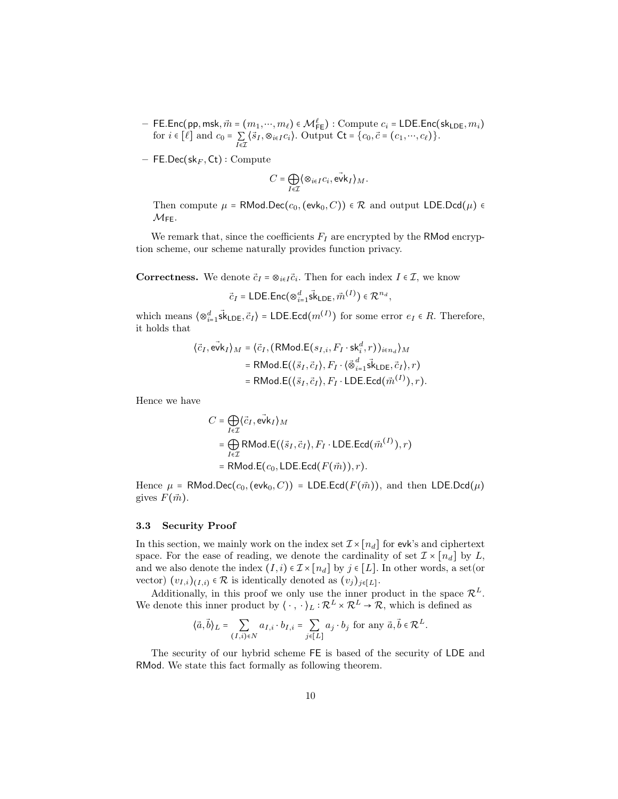- $-$  FE.Enc(pp, msk,  $\vec{m}$  =  $(m_1, ..., m_\ell) \in \mathcal{M}^\ell_{\mathsf{FE}})$  : Compute  $c_i$  = LDE.Enc(sk<sub>LDE</sub>,  $m_i$ ) for  $i \in [\ell]$  and  $c_0 = \sum$  $\sum_{I \in \mathcal{I}} \langle \vec{s}_I, \otimes_{i \in I} c_i \rangle$ . Output  $\mathsf{C} \mathsf{t} = \{c_0, \vec{c} = (c_1, \dots, c_\ell) \}.$
- $-$  FE.Dec(sk<sub>F</sub>, Ct) : Compute

$$
C = \bigoplus_{I \in \mathcal{I}} \langle \otimes_{i \in I} c_i, \vec{\mathrm{ev}} \mathsf{k}_I \rangle_M.
$$

Then compute  $\mu$  = RMod.Dec( $c_0$ , (evk<sub>0</sub>, C))  $\in \mathcal{R}$  and output LDE.Dcd( $\mu$ )  $\in$  $M_{FE}$ .

We remark that, since the coefficients  $F_I$  are encrypted by the RMod encryption scheme, our scheme naturally provides function privacy.

**Correctness.** We denote  $\vec{c}_I = \otimes_{i \in I} \vec{c}_i$ . Then for each index  $I \in \mathcal{I}$ , we know

$$
\vec{c}_I = \text{LDE}.\text{Enc}(\otimes_{i=1}^d \vec{sk}_{\text{LDE}}, \vec{m}^{(I)}) \in \mathcal{R}^{n_d},
$$

which means  $\langle \otimes_{i=1}^d \vec{sk}_{\text{LDE}}, \vec{c}_I \rangle$  = LDE.Ecd $(m^{(I)})$  for some error  $e_I \in R$ . Therefore, it holds that

$$
\langle \vec{c}_I, \vec{\mathbf{ev}} \mathbf{k}_I \rangle_M = \langle \vec{c}_I, (\mathsf{RMod}.\mathsf{E}(s_{I,i}, F_I \cdot \mathsf{sk}^d_i, r))_{i \in n_d} \rangle_M
$$
  
= \mathsf{RMod}.\mathsf{E}(\langle \vec{s}\_I, \vec{c}\_I \rangle, F\_I \cdot \langle \vec{\otimes}\_{i=1}^d \vec{\mathbf{sk}} \mathsf{LDE}, \vec{c}\_I \rangle, r)  
= \mathsf{RMod}.\mathsf{E}(\langle \vec{s}\_I, \vec{c}\_I \rangle, F\_I \cdot \mathsf{LDE}.\mathsf{Ecd}(\vec{m}^{(I)}), r).

Hence we have

$$
C = \bigoplus_{I \in \mathcal{I}} \langle \vec{c}_I, \vec{evk}_I \rangle_M
$$
  
= 
$$
\bigoplus_{I \in \mathcal{I}} \text{RMod.E}(\langle \vec{s}_I, \vec{c}_I \rangle, F_I \cdot \text{LDE.Ecd}(\vec{m}^{(I)}), r)
$$
  
= 
$$
\text{RMod.E}(c_0, \text{LDE.Ecd}(F(\vec{m})), r).
$$

Hence  $\mu$  = RMod.Dec( $c_0$ , (evk<sub>0</sub>, C)) = LDE.Ecd( $F(\vec{m})$ ), and then LDE.Dcd( $\mu$ ) gives  $F(\vec{m})$ .

#### <span id="page-9-0"></span>3.3 Security Proof

In this section, we mainly work on the index set  $\mathcal{I} \times [n_d]$  for evk's and ciphertext space. For the ease of reading, we denote the cardinality of set  $\mathcal{I} \times [n_d]$  by L, and we also denote the index  $(I, i) \in \mathcal{I} \times [n_d]$  by  $j \in [L]$ . In other words, a set(or vector)  $(v_{I,i})_{(I,i)} \in \mathcal{R}$  is identically denoted as  $(v_j)_{j \in [L]}$ .

Additionally, in this proof we only use the inner product in the space  $\mathcal{R}^L$ . We denote this inner product by  $\langle \cdot, \cdot \rangle_L : \mathcal{R}^L \times \mathcal{R}^L \to \mathcal{R}$ , which is defined as

$$
\langle \vec{a}, \vec{b} \rangle_L = \sum_{(I,i) \in N} a_{I,i} \cdot b_{I,i} = \sum_{j \in [L]} a_j \cdot b_j \text{ for any } \vec{a}, \vec{b} \in \mathcal{R}^L.
$$

<span id="page-9-1"></span>The security of our hybrid scheme FE is based of the security of LDE and RMod. We state this fact formally as following theorem.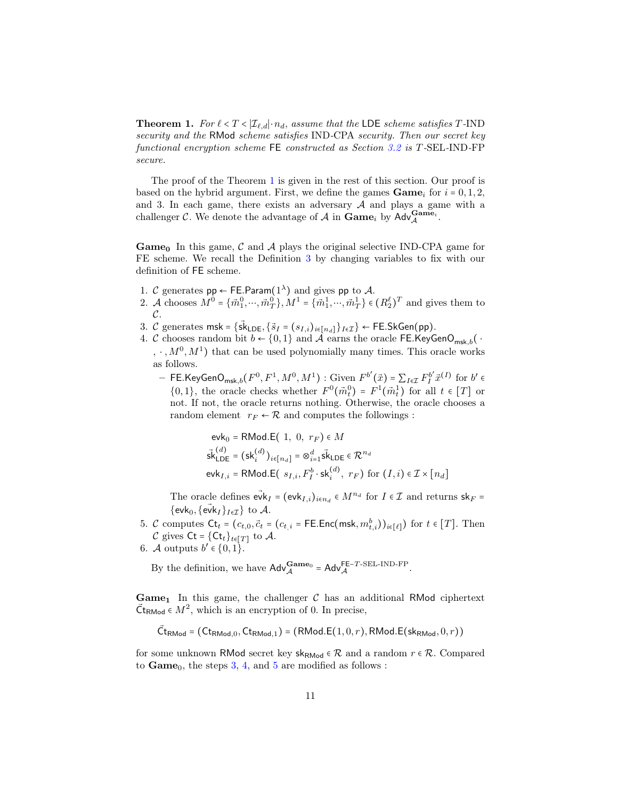**Theorem 1.** For  $\ell < T < |\mathcal{I}_{\ell,d}| \cdot n_d$ , assume that the LDE scheme satisfies T-IND security and the RMod scheme satisfies IND-CPA security. Then our secret key functional encryption scheme FE constructed as Section [3.2](#page-8-0) is T-SEL-IND-FP secure.

The proof of the Theorem [1](#page-9-1) is given in the rest of this section. Our proof is based on the hybrid argument. First, we define the games  $\mathbf{Game}_i$  for  $i = 0, 1, 2$ , and 3. In each game, there exists an adversary  $A$  and plays a game with a challenger C. We denote the advantage of A in  $\text{Game}_i$  by  $\text{Adv}_{\mathcal{A}}^{\text{Game}_i}$ .

**Game**<sub>0</sub> In this game, C and A plays the original selective IND-CPA game for FE scheme. We recall the Definition [3](#page-4-0) by changing variables to fix with our definition of FE scheme.

- 1. C generates  $pp \leftarrow$  FE.Param $(1^{\lambda})$  and gives pp to A.
- 2. A chooses  $M^0 = \{\vec{m}_1^0, \dots, \vec{m}_T^0\}$ ,  $M^1 = \{\vec{m}_1^1, \dots, \vec{m}_T^1\} \in (R_2^{\ell})^T$  and gives them to  $\mathcal{C}.$
- <span id="page-10-0"></span>3. C generates msk = { $s\vec{k}_{\text{LDE}}, \{\vec{s}_I = (s_{I,i})_{i \in [n_d]}\}\$  + FE.SkGen(pp).
- <span id="page-10-1"></span>4. C chooses random bit  $b \leftarrow \{0, 1\}$  and  $\tilde{\mathcal{A}}$  earns the oracle FE.KeyGenO<sub>msk b</sub>( ·  $, \cdot, M^{0}, M^{1}$  that can be used polynomially many times. This oracle works as follows.
	- FE.KeyGenO<sub>msk,b</sub>( $F^0, F^1, M^0, M^1$ ) : Given  $F^{b'}(\vec{x}) = \sum_{I \in \mathcal{I}} F_I^{b'} \vec{x}^{(I)}$  for  $b' \in$  $\{0,1\}$ , the oracle checks whether  $F^0(\vec{m}_t^0) = F^1(\vec{m}_t^1)$  for all  $t \in [T]$  or not. If not, the oracle returns nothing. Otherwise, the oracle chooses a random element  $r_F \leftarrow \mathcal{R}$  and computes the followings :

$$
\mathsf{evk}_0 = \mathsf{RMod}.\mathsf{E}\left(1, 0, r_F\right) \in M
$$
\n
$$
\vec{\mathsf{sk}}_{\mathsf{LDE}}^{(d)} = (\mathsf{sk}_i^{(d)})_{i \in [n_d]} = \otimes_{i=1}^d \vec{\mathsf{sk}}_{\mathsf{LDE}} \in \mathcal{R}^{n_d}
$$
\n
$$
\mathsf{evk}_{I,i} = \mathsf{RMod}.\mathsf{E}\left(\ s_{I,i}, F_I^b \cdot \mathsf{sk}_i^{(d)}, \ r_F\right) \text{ for } (I,i) \in \mathcal{I} \times [n_d]
$$

The oracle defines  $\vec{\text{ev}}k_I = (\text{evk}_{I,i})_{i \in n_d} \in M^{n_d}$  for  $I \in \mathcal{I}$  and returns  $\text{sk}_F =$ {evk<sub>0</sub>, { $e\vec{v}$ k<sub>I</sub>}<sub>I∈*I*</sub>} to *A*.

- <span id="page-10-2"></span>5. C computes  $\mathsf{C}t_t = (c_{t,0}, \vec{c}_t = (c_{t,i} = \mathsf{FE}.\mathsf{Enc}(\mathsf{msk}, m_{t,i}^b))_{i \in [\ell]})$  for  $t \in [T]$ . Then C gives  $\mathsf{C}t = \{\mathsf{C}t_t\}_{t\in[T]}$  to A.
- 6. A outputs  $b' \in \{0,1\}$ .

By the definition, we have  $\mathsf{Adv}_{\mathcal{A}}^{\mathbf{Game}_0} = \mathsf{Adv}_{\mathcal{A}}^{\mathsf{FE}-T\text{-SEL-IND-FP}}.$ 

**Game**<sub>1</sub> In this game, the challenger  $C$  has an additional RMod ciphertext  $\vec{C}$ t<sub>RMod</sub>  $\in M^2$ , which is an encryption of 0. In precise,

$$
\vec{\mathsf{C}}_{\mathsf{tRMod}} = (\mathsf{C} t_{\mathsf{RMod},0}, \mathsf{C} t_{\mathsf{RMod},1}) = (\mathsf{RMod}.\mathsf{E}(1,0,r), \mathsf{RMod}.\mathsf{E}(\mathsf{sk}_{\mathsf{RMod}},0,r))
$$

for some unknown RMod secret key  $sk_{RMod} \in \mathcal{R}$  and a random  $r \in \mathcal{R}$ . Compared to  $Game_0$ , the steps [3,](#page-10-0) [4,](#page-10-1) and [5](#page-10-2) are modified as follows :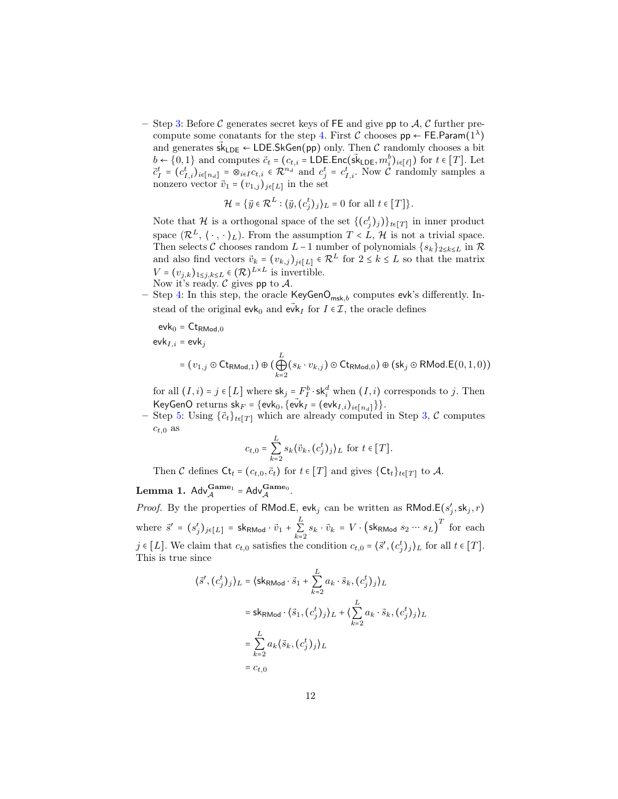– Step [3:](#page-10-0) Before C generates secret keys of FE and give pp to A, C further pre-compute some conatants for the step [4.](#page-10-1) First  $\mathcal C$  chooses  $\mathsf{pp} \leftarrow \mathsf{FE}.\mathsf{Param}(1^\lambda)$ and generates  $sk_{\text{LDE}} \leftarrow \text{LDE.SkGen(pp)}$  only. Then C randomly chooses a bit  $b \leftarrow \{0, 1\}$  and computes  $\vec{c}_t = (c_{t,i} = \text{LDE}.\text{Enc}(\vec{s}_{\text{LDE}}, m_i^b)_{i \in [\ell]})$  for  $t \in [T]$ . Let  $\vec{c}_T^t = (c_{I,i}^t)_{i \in [n_d]} = \otimes_{i \in I} c_{t,i} \in \mathcal{R}^{n_d}$  and  $c_j^t = c_{I,i}^t$ . Now C randomly samples a nonzero vector  $\vec{v}_1 = (v_{1,j})_{j \in [L]}$  in the set

$$
\mathcal{H} = \{ \vec{y} \in \mathcal{R}^L : \langle \vec{y}, (c_j^t)_j \rangle_L = 0 \text{ for all } t \in [T] \}.
$$

Note that  $\mathcal{H}$  is a orthogonal space of the set  $\{(c_j^t)_j)\}_{t \in [T]}$  in inner product space  $(\mathcal{R}^L, \langle \cdot, \cdot \rangle_L)$ . From the assumption  $T < L$ , H is not a trivial space. Then selects C chooses random L-1 number of polynomials  $\{s_k\}_{2\leq k\leq L}$  in  $\mathcal R$ and also find vectors  $\vec{v}_k = (v_{k,j})_{j \in [L]} \in \mathcal{R}^L$  for  $2 \le k \le L$  so that the matrix  $V = (v_{j,k})_{1 \leq j,k \leq L} \in (\mathcal{R})^{L \times L}$  is invertible. Now it's ready.  $C$  gives pp to  $\mathcal{A}$ .

– Step [4:](#page-10-1) In this step, the oracle  $KeyGenO_{msk,b}$  computes evk's differently. Instead of the original evk<sub>0</sub> and evk<sub>I</sub> for  $I \in \mathcal{I}$ , the oracle defines

$$
\mathsf{evk}_0 = \mathsf{Ct}_{\mathsf{RMod},0}
$$

 $evk_{I,i} = evk_j$ 

$$
= (v_{1,j} \odot \text{Ct}_{\text{RMod},1}) \oplus (\bigoplus_{k=2}^{L} (s_k \cdot v_{k,j}) \odot \text{Ct}_{\text{RMod},0}) \oplus (\text{sk}_j \odot \text{RMod}.E(0,1,0))
$$

for all  $(I, i) = j \in [L]$  where  $\mathsf{sk}_j = F_I^b \cdot \mathsf{sk}_i^d$  when  $(I, i)$  corresponds to j. Then KeyGenO returns  $sk_F = \{evk_0, \{evk_I = (evk_{I,i})_{i \in [n_d]}\}\}.$ 

– Step [5:](#page-10-2) Using  $\{\vec{c}_t\}_{t\in[T]}$  which are already computed in Step [3,](#page-10-0) C computes  $c_{t,0}$  as

$$
c_{t,0} = \sum_{k=2}^{L} s_k \langle \vec{v}_k, (c_j^t)_j \rangle_L \text{ for } t \in [T].
$$

Then C defines  $\mathsf{C}t_t = (c_{t,0}, \vec{c}_t)$  for  $t \in [T]$  and gives  $\{\mathsf{C}t_t\}_{t \in [T]}$  to A.

<span id="page-11-0"></span>**Lemma 1.**  $\mathsf{Adv}_{\mathcal{A}}^{\mathbf{Game}_1} = \mathsf{Adv}_{\mathcal{A}}^{\mathbf{Game}_0}.$ 

⟨s⃗

*Proof.* By the properties of RMod.E, evk<sub>j</sub> can be written as RMod.E( $s'_j$ , sk<sub>j</sub>, r) where  $\vec{s}' = (s'_j)_{j \in [L]} = \textsf{sk}_{\text{RMod}} \cdot \vec{v}_1 + \sum_{k=1}^{L}$  $k=2$  $s_k \cdot \vec{v}_k = V \cdot (\textsf{sk}_{\textsf{RMod}} s_2 \cdots s_L)^T$  for each j ∈ [L]. We claim that  $c_{t,0}$  satisfies the condition  $c_{t,0} = \langle \vec{s}', (\vec{c}_j^t)_j \rangle_L$  for all  $t \in [T]$ . This is true since

$$
\vec{s}', (c_j^t)_j \rangle_L = \langle \text{skRMod} \cdot \vec{s}_1 + \sum_{k=2}^L a_k \cdot \vec{s}_k, (c_j^t)_j \rangle_L
$$
  

$$
= \text{skRMod} \cdot \langle \vec{s}_1, (c_j^t)_j \rangle_L + \langle \sum_{k=2}^L a_k \cdot \vec{s}_k, (c_j^t)_j \rangle_L
$$
  

$$
= \sum_{k=2}^L a_k \langle \vec{s}_k, (c_j^t)_j \rangle_L
$$
  

$$
= c_{t,0}
$$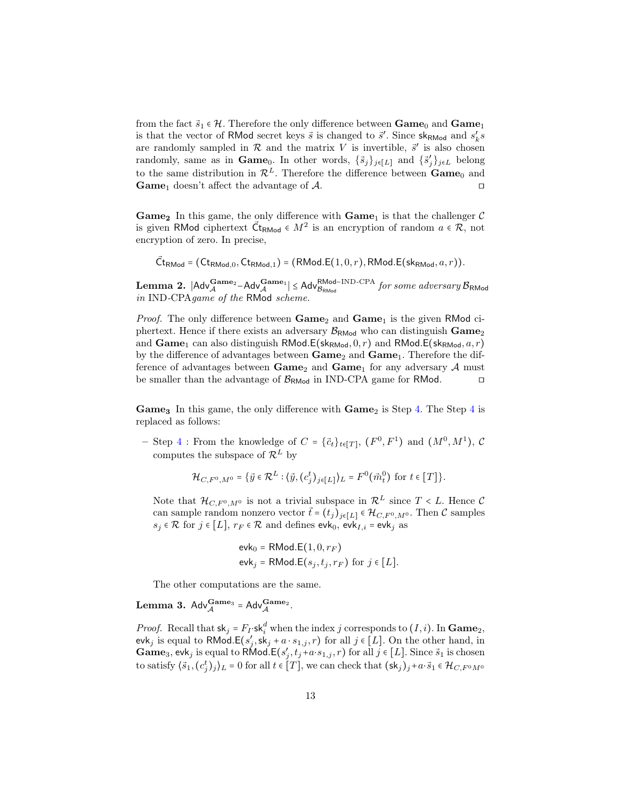from the fact  $\vec{s}_1 \in \mathcal{H}$ . Therefore the only difference between  $\bf{Game}_0$  and  $\bf{Game}_1$ is that the vector of RMod secret keys  $\vec{s}$  is changed to  $\vec{s}'$ . Since sk<sub>RMod</sub> and  $s'_{k}s$ are randomly sampled in  $R$  and the matrix V is invertible,  $\vec{s}'$  is also chosen randomly, same as in **Game**<sub>0</sub>. In other words,  $\{\bar{s}_j\}_{j\in[L]}$  and  $\{\bar{s}'_j\}_{j\in L}$  belong to the same distribution in  $\mathcal{R}^L$ . Therefore the difference between  $\mathbf{Game}_0$  and Game<sub>1</sub> doesn't affect the advantage of  $A$ .

Game<sub>2</sub> In this game, the only difference with  $Game_1$  is that the challenger  $C$ is given RMod ciphertext  $\vec{C}_{\text{RMod}} \in M^2$  is an encryption of random  $a \in \mathcal{R}$ , not encryption of zero. In precise,

 $\vec{\mathsf{C}}\textsf{t}_{\mathsf{RMod}}$  =  $(\mathsf{C}\textsf{t}_{\mathsf{RMod},0},\mathsf{C}\textsf{t}_{\mathsf{RMod},1})$  =  $(\mathsf{RMod}\textsf{E}(1,0,r),\mathsf{RMod}\textsf{E}(\mathsf{sk}_{\mathsf{RMod}},a,r)).$ 

<span id="page-12-0"></span>**Lemma 2.**  $|$ Adv<sup>Game<sub>2</sub> – Adv<sup>Game<sub>1</sub> |  $\leq$  Adv<sup>RMod–IND-CPA</sup> for some adversary  $B_{\text{RMod}}$ <br>in IND CDA some of the PMad solomen</sup></sup> in IND-CPAgame of the RMod scheme.

*Proof.* The only difference between  $Game_2$  and  $Game_1$  is the given RMod ciphertext. Hence if there exists an adversary  $\mathcal{B}_{\mathsf{RMod}}$  who can distinguish  $\mathbf{Game}_2$ and  $\text{Game}_1$  can also distinguish RMod.E(sk<sub>RMod</sub>, 0, r) and RMod.E(sk<sub>RMod</sub>,  $a, r$ ) by the difference of advantages between  $Game_2$  and  $Game_1$ . Therefore the difference of advantages between  $\mathbf{Game}_2$  and  $\mathbf{Game}_1$  for any adversary A must be smaller than the advantage of  $\mathcal{B}_{\text{RMod}}$  in IND-CPA game for RMod. □

**Game<sub>3</sub>** In this game, the only difference with  $\text{Game}_2$  is Step [4.](#page-10-1) The Step [4](#page-10-1) is replaced as follows:

- Step [4](#page-10-1) : From the knowledge of  $C = {\{\vec{c}_t\}}_{t \in [T]}$ ,  $(F^0, F^1)$  and  $(M^0, M^1)$ ,  $C$ computes the subspace of  $\mathcal{R}^L$  by

$$
\mathcal{H}_{C,F^0,M^0} = \{ \vec{y} \in \mathcal{R}^L : \langle \vec{y}, (c_j^t)_{j \in [L]} \rangle_L = F^0(\vec{m}_t^0) \text{ for } t \in [T] \}.
$$

Note that  $\mathcal{H}_{C,F^0,M^0}$  is not a trivial subspace in  $\mathcal{R}^L$  since  $T < L$ . Hence C can sample random nonzero vector  $\vec{t} = (t_j)_{j \in [L]} \in \mathcal{H}_{C, F^0, M^0}$ . Then C samples  $s_j \in \mathcal{R}$  for  $j \in [L]$ ,  $r_F \in \mathcal{R}$  and defines evk<sub>0</sub>, evk<sub>I,i</sub> = evk<sub>j</sub> as

$$
\mathsf{evk}_0 = \mathsf{RMod}.\mathsf{E}(1,0,r_F)
$$

$$
\mathsf{evk}_j = \mathsf{RMod}.\mathsf{E}(s_j, t_j, r_F) \text{ for } j \in [L].
$$

The other computations are the same.

<span id="page-12-1"></span>**Lemma 3.** Adv $_{\mathcal{A}}^{\mathbf{Game}_3}$  = Adv $_{\mathcal{A}}^{\mathbf{Game}_2}$ .

*Proof.* Recall that  $sk_j = F_I \cdot sk_i^d$  when the index j corresponds to  $(I, i)$ . In Game<sub>2</sub>, evk<sub>j</sub> is equal to RMod.E( $s'_j$ , sk<sub>j</sub> + a ⋅  $s_{1,j}, r$ ) for all  $j \in [L]$ . On the other hand, in **Game**<sub>3</sub>, evk<sub>j</sub> is equal to RMod.E( $s'_{j}$ ,  $t_{j}$ +a⋅ $s_{1,j}$ , r) for all  $j$  ∈ [L]. Since  $\vec{s}_1$  is chosen to satisfy  $\langle \vec{s}_1, (c_j^t)_j \rangle_L = 0$  for all  $t \in [T]$ , we can check that  $(\mathsf{sk}_j)_j + a \cdot \vec{s}_1 \in \mathcal{H}_{C, F^0 M^0}$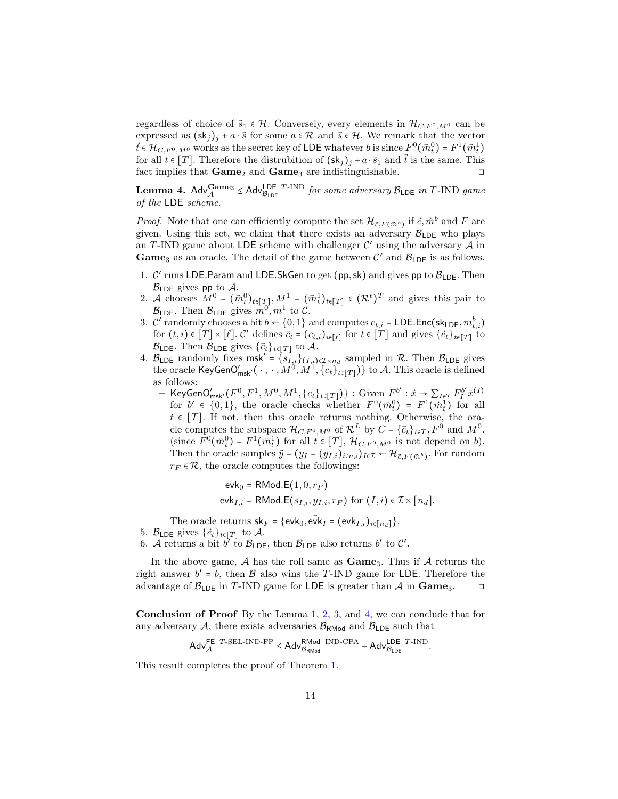regardless of choice of  $\vec{s}_1 \in \mathcal{H}$ . Conversely, every elements in  $\mathcal{H}_{C,F^0,M^0}$  can be expressed as  $(\mathsf{sk}_j)_j + a \cdot \vec{s}$  for some  $a \in \mathcal{R}$  and  $\vec{s} \in \mathcal{H}$ . We remark that the vector  $\vec{t} \in \mathcal{H}_{C,F^0,M^0}$  works as the secret key of LDE whatever  $b$  is since  $F^0(\vec{m}_t^0)$  =  $F^1(\vec{m}_t^1)$ for all  $t \in [T]$ . Therefore the distrubition of  $(\mathsf{sk}_j)_j + a \cdot \vec{s}_1$  and  $\vec{t}$  is the same. This fact implies that  $Game_2$  and  $Game_3$  are indistinguishable. □

<span id="page-13-0"></span>**Lemma 4.** Adv $\frac{Game_3}{A_{\text{LDE}}}$   $\leq$  Adv $\frac{LDE-T-IND}{B_{\text{LDE}}}$  for some adversary  $B_{\text{LDE}}$  in T-IND game of the LDE scheme.

*Proof.* Note that one can efficiently compute the set  $\mathcal{H}_{\vec{c},F(\vec{m}^b)}$  if  $\vec{c}, \vec{m}^b$  and F are given. Using this set, we claim that there exists an adversary  $B_{\text{LDE}}$  who plays an T-IND game about LDE scheme with challenger  $\mathcal{C}'$  using the adversary  $\mathcal{A}$  in **Game**<sub>3</sub> as an oracle. The detail of the game between  $\mathcal{C}'$  and  $\mathcal{B}_{\text{LDE}}$  is as follows.

- 1.  $\mathcal{C}'$  runs LDE.Param and LDE.SkGen to get (pp,sk) and gives pp to  $\mathcal{B}_{\mathsf{LDE}}$ . Then  $\mathcal{B}_{\text{LDE}}$  gives pp to A.
- 2. A chooses  $M^0 = (\vec{m}_t^0)_{t \in [T]}, M^1 = (\vec{m}_t^1)_{t \in [T]} \in (\mathcal{R}^{\ell})^T$  and gives this pair to  $\mathcal{B}_{\textsf{LDE}}$ . Then  $\mathcal{B}_{\textsf{LDE}}$  gives  $m^0, m^1$  to C.
- 3.  $\mathcal{C}'$  randomly chooses a bit  $b \leftarrow \{0, 1\}$  and computes  $c_{t,i} = \textsf{LDE}.\textsf{Enc}(\textsf{sk}_{\textsf{LDE}}, m_{t,i}^b)$ for  $(t, i) \in [T] \times [\ell]$ . C' defines  $\vec{c}_t = (c_{t,i})_{i \in [\ell]}$  for  $t \in [T]$  and gives  $\{\vec{c}_t\}_{t \in [T]}$  to  $\mathcal{B}_{\textsf{LDE}}$ . Then  $\mathcal{B}_{\textsf{LDE}}$  gives  $\{\vec{c}_t\}_{t\in[T]}$  to A.
- 4.  $\mathcal{B}_{\text{LDE}}$  randomly fixes msk<sup>'</sup> =  $\{s_{I,i}\}_{(I,i)\in\mathcal{I}\times n_d}$  sampled in  $\mathcal{R}$ . Then  $\mathcal{B}_{\text{LDE}}$  gives the oracle KeyGenO'<sub>msk'</sub> (  $\cdot$  ,  $\cdot$  ,  $M^0$ ,  $M^1$ ,  $\{c_t\}_{t\in[T]})\}$  to A. This oracle is defined as follows:
	- KeyGenO'<sub>msk'</sub>( $F^0, F^1, M^0, M^1, \{c_t\}_{t \in [T]})$ } : Given  $F^{b'}$  :  $\vec{x} \mapsto \sum_{I \in \mathcal{I}} F_I^{b'} \vec{x}^{(I)}$ for  $b' \in \{0,1\}$ , the oracle checks whether  $F^0(\vec{m}_t^0) = F^1(\vec{m}_t^1)$  for all  $t \in [T]$ . If not, then this oracle returns nothing. Otherwise, the oracle computes the subspace  $\mathcal{H}_{C,F^0,M^0}$  of  $\mathcal{R}^L$  by  $C = {\vec{c}_t}_{t\in T}$ ,  $F^0$  and  $M^0$ . (since  $F^0(\vec{m}_t^0) = F^1(\vec{m}_t^1)$  for all  $t \in [T]$ ,  $\mathcal{H}_{C,F^0,M^0}$  is not depend on b). Then the oracle samples  $\vec{y} = (y_I = (y_{I,i})_{i \in n_d})_{I \in \mathcal{I}} \leftarrow \mathcal{H}_{\vec{c}, F(\vec{m}^b)}$ . For random  $r_F \in \mathcal{R}$ , the oracle computes the followings:

$$
\mathsf{evk}_0 = \mathsf{RMod}.\mathsf{E}(1,0,r_F)
$$
  

$$
\mathsf{evk}_{I,i} = \mathsf{RMod}.\mathsf{E}(s_{I,i},y_{I,i},r_F) \text{ for } (I,i) \in \mathcal{I} \times [n_d].
$$

The oracle returns  $sk_F = \{evk_0, evk_I = (evk_{I,i})_{i \in [n_d]}\}.$ 

- 5.  $\mathcal{B}_{\textsf{LDE}}$  gives  $\{\vec{c}_t\}_{t\in[T]}$  to A.
- 6. A returns a bit b' to  $\mathcal{B}_{\text{LDE}}$ , then  $\mathcal{B}_{\text{LDE}}$  also returns b' to C'.

In the above game,  $A$  has the roll same as  $Game_3$ . Thus if  $A$  returns the right answer  $b' = b$ , then  $\beta$  also wins the T-IND game for LDE. Therefore the advantage of  $\mathcal{B}_{\text{LDE}}$  in T-IND game for LDE is greater than A in Game<sub>3</sub>. □

Conclusion of Proof By the Lemma [1,](#page-11-0) [2,](#page-12-0) [3,](#page-12-1) and [4,](#page-13-0) we can conclude that for any adversary A, there exists adversaries  $\mathcal{B}_{\text{RMod}}$  and  $\mathcal{B}_{\text{LDE}}$  such that

$$
Adv_{\mathcal{A}}^{FE-T-SEL-IND-FP} \leq Adv_{\mathcal{B}_{RMod}}^{RMod-IND-CPA} + Adv_{\mathcal{B}_{LDE}}^{LDE-T-IND}
$$

.

This result completes the proof of Theorem [1.](#page-9-1)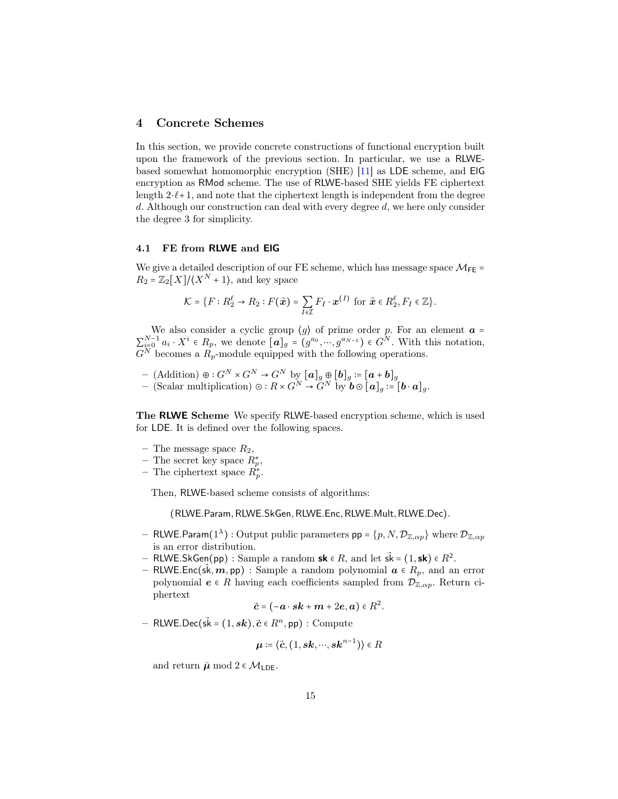#### 4 Concrete Schemes

In this section, we provide concrete constructions of functional encryption built upon the framework of the previous section. In particular, we use a RLWEbased somewhat homomorphic encryption (SHE) [\[11\]](#page-18-13) as LDE scheme, and ElG encryption as RMod scheme. The use of RLWE-based SHE yields FE ciphertext length  $2 \cdot \ell + 1$ , and note that the ciphertext length is independent from the degree d. Although our construction can deal with every degree  $d$ , we here only consider the degree 3 for simplicity.

#### <span id="page-14-0"></span>4.1 FE from RLWE and ElG

We give a detailed description of our FE scheme, which has message space  $M_{FE}$  =  $R_2 = \mathbb{Z}_2[X]/\langle X^N + 1 \rangle$ , and key space

$$
\mathcal{K} = \{F : R_2^{\ell} \to R_2 : F(\vec{\boldsymbol{x}}) = \sum_{I \in \mathcal{I}} F_I \cdot \boldsymbol{x}^{(I)} \text{ for } \vec{\boldsymbol{x}} \in R_2^{\ell}, F_I \in \mathbb{Z}\}.
$$

We also consider a cyclic group  $\langle g \rangle$  of prime order p. For an element  $a =$  $\sum_{i=0}^{N-1} a_i \cdot X^i \in R_p$ , we denote  $[a]_g = (g^{a_0}, \dots, g^{a_{N-1}}) \in G^N$ . With this notation,  $G^N$  becomes a  $R_p$ -module equipped with the following operations.

 $-$  (Addition) ⊕ ∶  $G^N \times G^N \to G^N$  by  $[\boldsymbol{a}]_g \oplus [\boldsymbol{b}]_g \coloneqq [\boldsymbol{a} + \boldsymbol{b}]_g$  $-$  (Scalar multiplication)  $\odot: R \times G^N \to \widetilde{G}^N$  by  $\boldsymbol{b} \odot [\boldsymbol{a}]_g := [\boldsymbol{b} \cdot \boldsymbol{a}]_g$ .

The RLWE Scheme We specify RLWE-based encryption scheme, which is used for LDE. It is defined over the following spaces.

- The message space  $R_2$ ,
- The secret key space  $R_p^*$ ,
- The ciphertext space  $\overline{R}_p^*$ .

Then, RLWE-based scheme consists of algorithms:

(RLWE.Param,RLWE.SkGen,RLWE.Enc,RLWE.Mult,RLWE.Dec).

- $-$  RLWE.Param $(1^{\lambda})$  : Output public parameters  ${\sf pp}$  =  $\{p, N, \mathcal{D}_{\mathbb{Z}, \alpha p}\}$  where  $\mathcal{D}_{\mathbb{Z}, \alpha p}$ is an error distribution.
- RLWE.SkGen(pp) : Sample a random sk  $\in R$ , and let  $\vec{sk} = (1, sk) \in R^2$ .
- RLWE.Enc(sk,  $m$ , pp) : Sample a random polynomial  $a \in R_p$ , and an error polynomial  $e \in R$  having each coefficients sampled from  $\mathcal{D}_{\mathbb{Z},\alpha p}$ . Return ciphertext

 $\vec{\boldsymbol{c}}$  =  $(-\boldsymbol{a}\cdot\boldsymbol{s}\boldsymbol{k}+\boldsymbol{m}+2\boldsymbol{e},\boldsymbol{a})\in R^{2}.$ 

 $-$  RLWE.Dec( $\vec{sk} = (1, s\hat{k}), \vec{c} \in R^n, \textsf{pp})$ : Compute

$$
\boldsymbol{\mu}\coloneqq\langle\vec{\boldsymbol{c}},(1,\boldsymbol{s}\boldsymbol{k},\cdots,\boldsymbol{s}\boldsymbol{k}^{n-1})\rangle\in R
$$

and return  $\bar{\mu}$  mod  $2 \in \mathcal{M}_{\text{LDE}}$ .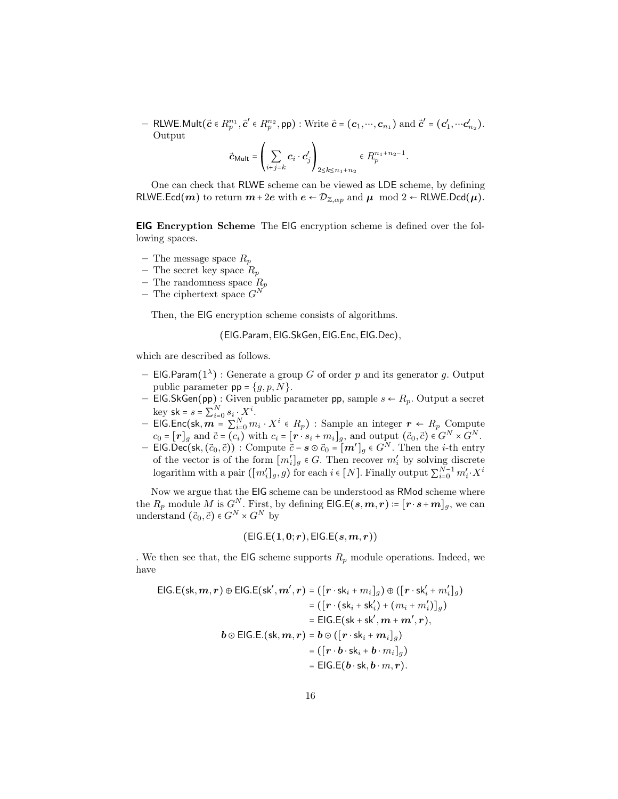− RLWE.Mult( $\vec{c}$  ∈  $R_p^{n_1}$ , $\vec{c}'$  ∈  $R_p^{n_2}$ , pp) : Write  $\vec{c}$  =  $(c_1, ..., c_{n_1})$  and  $\vec{c}'$  =  $(c'_1, ..., c'_{n_2})$ . Output

$$
\vec{\mathbf{c}}_{\mathsf{Mult}} = \left(\sum_{i+j=k} \mathbf{c}_i \cdot \mathbf{c}'_j\right)_{2 \leq k \leq n_1 + n_2} \in R_p^{n_1 + n_2 - 1}.
$$

One can check that RLWE scheme can be viewed as LDE scheme, by defining RLWE.Ecd(m) to return  $m+2e$  with  $e \leftarrow \mathcal{D}_{\mathbb{Z},\alpha p}$  and  $\mu \mod 2 \leftarrow \text{RLWE}$ .Dcd( $\mu$ ).

ElG Encryption Scheme The ElG encryption scheme is defined over the following spaces.

- The message space  $R_p$
- The secret key space  $R_p$
- The randomness space  $R_p$
- The ciphertext space  $G^N$

Then, the ElG encryption scheme consists of algorithms.

(ElG.Param,ElG.SkGen,ElG.Enc,ElG.Dec),

which are described as follows.

- EIG.Param $(1^{\lambda})$ : Generate a group G of order p and its generator g. Output public parameter  $pp = \{g, p, N\}.$
- ElG.SkGen(pp) : Given public parameter pp, sample  $s \leftarrow R_p$ . Output a secret key sk =  $s = \sum_{i=0}^{N} s_i \cdot X^i$ .
- ElG.Enc(sk,  $\mathbf{m} = \sum_{i=0}^{N} m_i \cdot X^i \in R_p$ ) : Sample an integer  $\mathbf{r} \leftarrow R_p$  Compute  $c_0 = [\mathbf{r}]_g$  and  $\vec{c} = (c_i)$  with  $c_i = [\mathbf{r} \cdot s_i + m_i]_g$ , and output  $(\vec{c}_0, \vec{c}) \in G^N \times G^N$ .
- ElG.Dec(sk,  $(\vec{c}_0, \vec{c})$ ) : Compute  $\vec{c}$ −s ⊙  $\vec{c}_0$  =  $[m']_g$  ∈  $G^N$ . Then the *i*-th entry of the vector is of the form  $[m'_i]_g \in G$ . Then recover  $m'_i$  by solving discrete logarithm with a pair  $([m'_i]_g, g)$  for each  $i \in [N]$ . Finally output  $\sum_{i=0}^{N-1} m'_i \cdot X^i$

Now we argue that the ElG scheme can be understood as RMod scheme where the  $R_p$  module M is  $G^N$ . First, by defining EIG.E $(s, m, r) \coloneqq [r \cdot s + m]_g$ , we can understand  $(\vec{c}_0, \vec{c}) \in G^N \times G^N$  by

$$
(\mathsf{EIG}.\mathsf{E}(1,0;r),\mathsf{EIG}.\mathsf{E}(s,m,r))
$$

. We then see that, the EIG scheme supports  $R_p$  module operations. Indeed, we have

$$
\begin{aligned} \mathsf{EIG}.\mathsf{E}(\mathsf{sk},\mathbf{m},\mathbf{r}) \oplus \mathsf{EIG}.\mathsf{E}(\mathsf{sk}',\mathbf{m}',\mathbf{r}) &= \left( \left[ \mathbf{r} \cdot \mathsf{sk}_i + m_i \right]_g \right) \oplus \left( \left[ \mathbf{r} \cdot \mathsf{sk}_i' + m_i' \right]_g \right) \\ &= \left( \left[ \mathbf{r} \cdot (\mathsf{sk}_i + \mathsf{sk}_i') + (m_i + m_i') \right]_g \right) \\ &= \mathsf{EIG}.\mathsf{E}(\mathsf{sk} + \mathsf{sk}',\mathbf{m} + \mathbf{m}',\mathbf{r}), \\ \mathbf{b} \odot \mathsf{EIG}.\mathsf{E}.(\mathsf{sk},\mathbf{m},\mathbf{r}) &= \mathbf{b} \odot \left( \left[ \mathbf{r} \cdot \mathsf{sk}_i + \mathbf{m}_i \right]_g \right) \\ &= \left( \left[ \mathbf{r} \cdot \mathbf{b} \cdot \mathsf{sk}_i + \mathbf{b} \cdot m_i \right]_g \right) \\ &= \mathsf{EIG}.\mathsf{E}(\mathbf{b} \cdot \mathsf{sk},\mathbf{b} \cdot m,\mathbf{r}). \end{aligned}
$$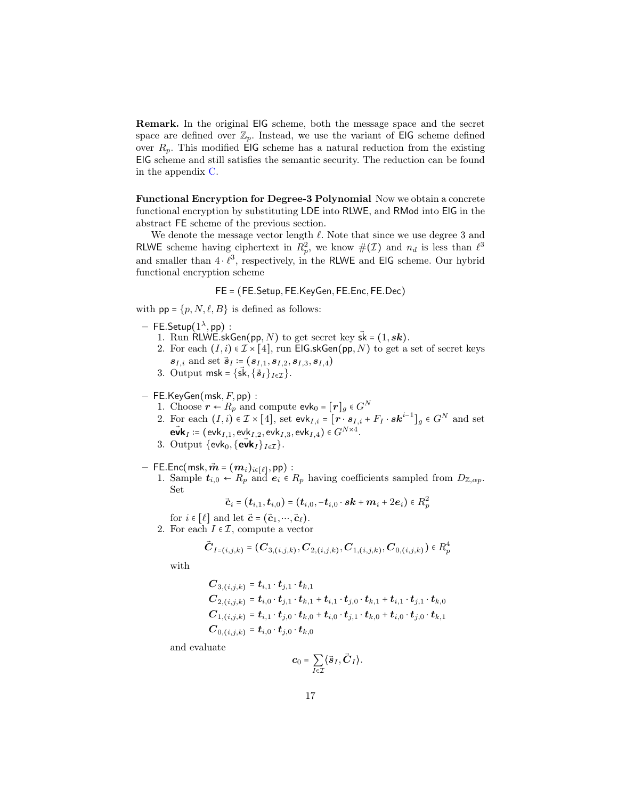Remark. In the original ElG scheme, both the message space and the secret space are defined over  $\mathbb{Z}_p$ . Instead, we use the variant of EIG scheme defined over  $R_p$ . This modified EIG scheme has a natural reduction from the existing ElG scheme and still satisfies the semantic security. The reduction can be found in the appendix [C.](#page-20-1)

Functional Encryption for Degree-3 Polynomial Now we obtain a concrete functional encryption by substituting LDE into RLWE, and RMod into ElG in the abstract FE scheme of the previous section.

We denote the message vector length  $\ell$ . Note that since we use degree 3 and RLWE scheme having ciphertext in  $R_p^2$ , we know  $\#(\mathcal{I})$  and  $n_d$  is less than  $\ell^3$ and smaller than  $4 \cdot \ell^3$ , respectively, in the RLWE and EIG scheme. Our hybrid functional encryption scheme

FE = (FE.Setup, FE.KeyGen, FE.Enc, FE.Dec)

with  $pp = \{p, N, \ell, B\}$  is defined as follows:

- $-$  FE.Setup $(1^{\lambda}, \mathsf{pp})$  :
	- 1. Run RLWE.skGen(pp, N) to get secret key  $sk = (1, sk)$ .
	- 2. For each  $(I, i) \in \mathcal{I} \times [4]$ , run ElG.skGen(pp, N) to get a set of secret keys  $s_{I,i}$  and set  $\vec{s}_I := (s_{I,1}, s_{I,2}, s_{I,3}, s_{I,4})$
	- 3. Output msk = { $\{ \vec{\mathbf{s}}_k, {\{\vec{\mathbf{s}}_I\}}_{I \in \mathcal{I}} \}$ .
- $-$  FE.KeyGen(msk, F, pp) :
	- 1. Choose  $r \leftarrow R_p$  and compute  $evk_0 = [r]_g \in G^N$
	- 2. For each  $(I, i) \in \mathcal{I} \times [4]$ , set evk<sub>I,i</sub> =  $[r \cdot s_{I,i} + F_I \cdot sk^{i-1}]_g \in G^N$  and set  $\vec{\textbf{ev}}\textbf{k}_I \coloneqq (\textbf{evk}_{I,1}, \textbf{evk}_{I,2}, \textbf{evk}_{I,3}, \textbf{evk}_{I,4}) \in G^{N \times 4}.$
	- 3. Output  $\{\mathsf{evk}_0, \{\mathsf{evk}_I\}_{I \in \mathcal{I}}\}$ .
- $-$  FE.Enc(msk,  $\vec{m} = (m_i)_{i \in [\ell]},$  pp):
	- 1. Sample  $t_{i,0} \leftarrow R_p$  and  $e_i \in R_p$  having coefficients sampled from  $D_{\mathbb{Z},\alpha p}$ . Set

$$
\vec{\boldsymbol{c}}_i = \left( \boldsymbol{t}_{i,1}, \boldsymbol{t}_{i,0} \right) = \left( \boldsymbol{t}_{i,0}, -\boldsymbol{t}_{i,0} \cdot \boldsymbol{s}\boldsymbol{k} + \boldsymbol{m}_i + 2\boldsymbol{e}_i \right) \in R_p^2
$$

- for  $i \in [\ell]$  and let  $\vec{c} = (\vec{c}_1, \dots, \vec{c}_\ell)$ .
- 2. For each  $I \in \mathcal{I}$ , compute a vector

$$
\vec{\boldsymbol{C}}_{I=(i,j,k)} = (\boldsymbol{C}_{3,(i,j,k)}, \boldsymbol{C}_{2,(i,j,k)}, \boldsymbol{C}_{1,(i,j,k)}, \boldsymbol{C}_{0,(i,j,k)}) \in R_{p}^{4}
$$

with

$$
C_{3,(i,j,k)} = t_{i,1} \cdot t_{j,1} \cdot t_{k,1}
$$
  
\n
$$
C_{2,(i,j,k)} = t_{i,0} \cdot t_{j,1} \cdot t_{k,1} + t_{i,1} \cdot t_{j,0} \cdot t_{k,1} + t_{i,1} \cdot t_{j,1} \cdot t_{k,0}
$$
  
\n
$$
C_{1,(i,j,k)} = t_{i,1} \cdot t_{j,0} \cdot t_{k,0} + t_{i,0} \cdot t_{j,1} \cdot t_{k,0} + t_{i,0} \cdot t_{j,0} \cdot t_{k,1}
$$
  
\n
$$
C_{0,(i,j,k)} = t_{i,0} \cdot t_{j,0} \cdot t_{k,0}
$$

and evaluate

$$
\boldsymbol{c}_0 = \sum_{I \in \mathcal{I}} \langle \vec{\boldsymbol{s}}_I, \vec{\boldsymbol{C}}_I \rangle.
$$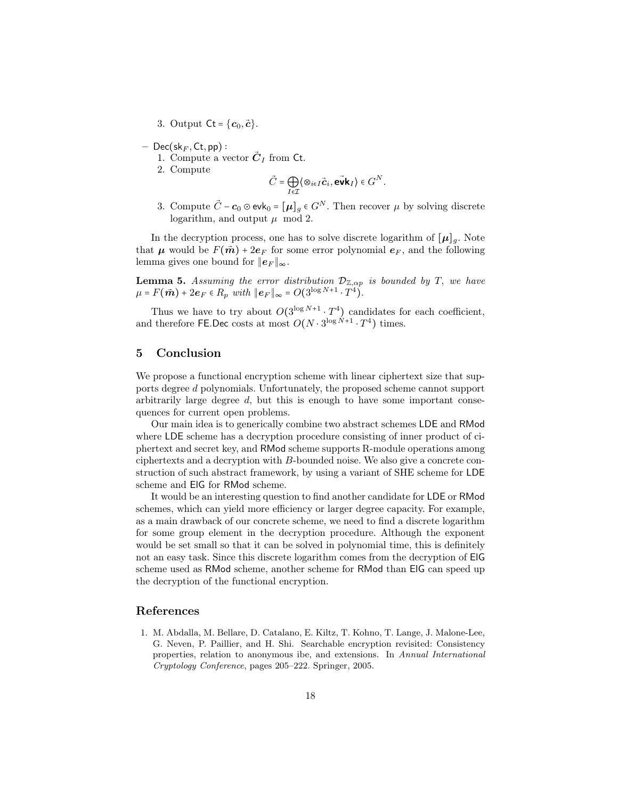3. Output  $\mathsf{C}t = \{\mathbf{c}_0, \mathbf{\vec{c}}\}.$ 

- $–$  Dec(sk<sub>F</sub>, Ct, pp) :
	- 1. Compute a vector  $\vec{C}_I$  from Ct.
	- 2. Compute

$$
\vec{C} = \bigoplus_{I \in \mathcal{I}} \langle \otimes_{i \in I} \vec{c}_i, \vec{\mathbf{e}} \mathbf{v} \mathbf{k}_I \rangle \in G^N.
$$

3. Compute  $\vec{C}$  –  $c_0 \odot$  evk<sub>0</sub> =  $[\mu]_q \in G^N$ . Then recover  $\mu$  by solving discrete logarithm, and output  $\mu$  mod 2.

In the decryption process, one has to solve discrete logarithm of  $[\mu]_g$ . Note that  $\mu$  would be  $F(\vec{m}) + 2e_F$  for some error polynomial  $e_F$ , and the following lemma gives one bound for  $||e_F||_{\infty}$ .

<span id="page-17-1"></span>**Lemma 5.** Assuming the error distribution  $\mathcal{D}_{\mathbb{Z},\alpha p}$  is bounded by T, we have  $\mu = F(\vec{m}) + 2e_F \in R_p$  with  $||e_F||_{\infty} = O(3^{\log N + 1} \cdot T^4)$ .

Thus we have to try about  $O(3^{\log N+1} \cdot T^4)$  candidates for each coefficient, and therefore FE.Dec costs at most  $O(N \cdot 3^{\log N+1} \cdot T^4)$  times.

## 5 Conclusion

We propose a functional encryption scheme with linear ciphertext size that supports degree d polynomials. Unfortunately, the proposed scheme cannot support arbitrarily large degree d, but this is enough to have some important consequences for current open problems.

Our main idea is to generically combine two abstract schemes LDE and RMod where LDE scheme has a decryption procedure consisting of inner product of ciphertext and secret key, and RMod scheme supports R-module operations among ciphertexts and a decryption with B-bounded noise. We also give a concrete construction of such abstract framework, by using a variant of SHE scheme for LDE scheme and ElG for RMod scheme.

It would be an interesting question to find another candidate for LDE or RMod schemes, which can yield more efficiency or larger degree capacity. For example, as a main drawback of our concrete scheme, we need to find a discrete logarithm for some group element in the decryption procedure. Although the exponent would be set small so that it can be solved in polynomial time, this is definitely not an easy task. Since this discrete logarithm comes from the decryption of ElG scheme used as RMod scheme, another scheme for RMod than ElG can speed up the decryption of the functional encryption.

### References

<span id="page-17-0"></span>1. M. Abdalla, M. Bellare, D. Catalano, E. Kiltz, T. Kohno, T. Lange, J. Malone-Lee, G. Neven, P. Paillier, and H. Shi. Searchable encryption revisited: Consistency properties, relation to anonymous ibe, and extensions. In Annual International Cryptology Conference, pages 205–222. Springer, 2005.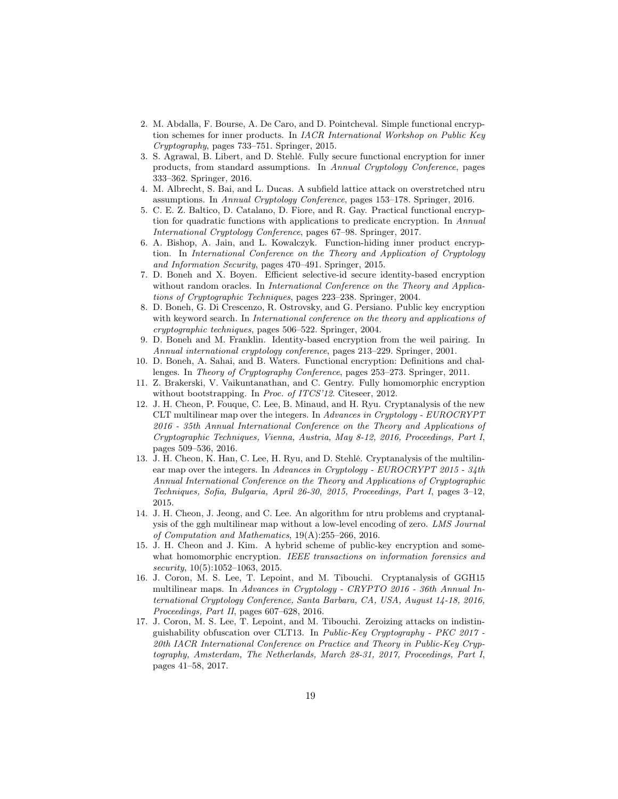- <span id="page-18-7"></span>2. M. Abdalla, F. Bourse, A. De Caro, and D. Pointcheval. Simple functional encryption schemes for inner products. In IACR International Workshop on Public Key Cryptography, pages 733–751. Springer, 2015.
- <span id="page-18-8"></span>3. S. Agrawal, B. Libert, and D. Stehlé. Fully secure functional encryption for inner products, from standard assumptions. In Annual Cryptology Conference, pages 333–362. Springer, 2016.
- <span id="page-18-14"></span>4. M. Albrecht, S. Bai, and L. Ducas. A subfield lattice attack on overstretched ntru assumptions. In Annual Cryptology Conference, pages 153–178. Springer, 2016.
- <span id="page-18-10"></span>5. C. E. Z. Baltico, D. Catalano, D. Fiore, and R. Gay. Practical functional encryption for quadratic functions with applications to predicate encryption. In Annual International Cryptology Conference, pages 67–98. Springer, 2017.
- <span id="page-18-9"></span>6. A. Bishop, A. Jain, and L. Kowalczyk. Function-hiding inner product encryption. In International Conference on the Theory and Application of Cryptology and Information Security, pages 470–491. Springer, 2015.
- <span id="page-18-5"></span>7. D. Boneh and X. Boyen. Efficient selective-id secure identity-based encryption without random oracles. In *International Conference on the Theory and Applica*tions of Cryptographic Techniques, pages 223–238. Springer, 2004.
- <span id="page-18-6"></span>8. D. Boneh, G. Di Crescenzo, R. Ostrovsky, and G. Persiano. Public key encryption with keyword search. In *International conference on the theory and applications of* cryptographic techniques, pages 506–522. Springer, 2004.
- <span id="page-18-0"></span>9. D. Boneh and M. Franklin. Identity-based encryption from the weil pairing. In Annual international cryptology conference, pages 213–229. Springer, 2001.
- <span id="page-18-12"></span>10. D. Boneh, A. Sahai, and B. Waters. Functional encryption: Definitions and challenges. In Theory of Cryptography Conference, pages 253–273. Springer, 2011.
- <span id="page-18-13"></span>11. Z. Brakerski, V. Vaikuntanathan, and C. Gentry. Fully homomorphic encryption without bootstrapping. In Proc. of ITCS'12. Citeseer, 2012.
- <span id="page-18-1"></span>12. J. H. Cheon, P. Fouque, C. Lee, B. Minaud, and H. Ryu. Cryptanalysis of the new CLT multilinear map over the integers. In Advances in Cryptology - EUROCRYPT 2016 - 35th Annual International Conference on the Theory and Applications of Cryptographic Techniques, Vienna, Austria, May 8-12, 2016, Proceedings, Part I, pages 509–536, 2016.
- <span id="page-18-2"></span>13. J. H. Cheon, K. Han, C. Lee, H. Ryu, and D. Stehlé. Cryptanalysis of the multilinear map over the integers. In Advances in Cryptology - EUROCRYPT 2015 - 34th Annual International Conference on the Theory and Applications of Cryptographic Techniques, Sofia, Bulgaria, April 26-30, 2015, Proceedings, Part I, pages 3–12, 2015.
- <span id="page-18-15"></span>14. J. H. Cheon, J. Jeong, and C. Lee. An algorithm for ntru problems and cryptanalysis of the ggh multilinear map without a low-level encoding of zero. LMS Journal of Computation and Mathematics, 19(A):255–266, 2016.
- <span id="page-18-11"></span>15. J. H. Cheon and J. Kim. A hybrid scheme of public-key encryption and somewhat homomorphic encryption. IEEE transactions on information forensics and  $security, 10(5):1052-1063, 2015.$
- <span id="page-18-3"></span>16. J. Coron, M. S. Lee, T. Lepoint, and M. Tibouchi. Cryptanalysis of GGH15 multilinear maps. In Advances in Cryptology - CRYPTO 2016 - 36th Annual International Cryptology Conference, Santa Barbara, CA, USA, August 14-18, 2016, Proceedings, Part II, pages 607–628, 2016.
- <span id="page-18-4"></span>17. J. Coron, M. S. Lee, T. Lepoint, and M. Tibouchi. Zeroizing attacks on indistinguishability obfuscation over CLT13. In Public-Key Cryptography - PKC 2017 - 20th IACR International Conference on Practice and Theory in Public-Key Cryptography, Amsterdam, The Netherlands, March 28-31, 2017, Proceedings, Part I, pages 41–58, 2017.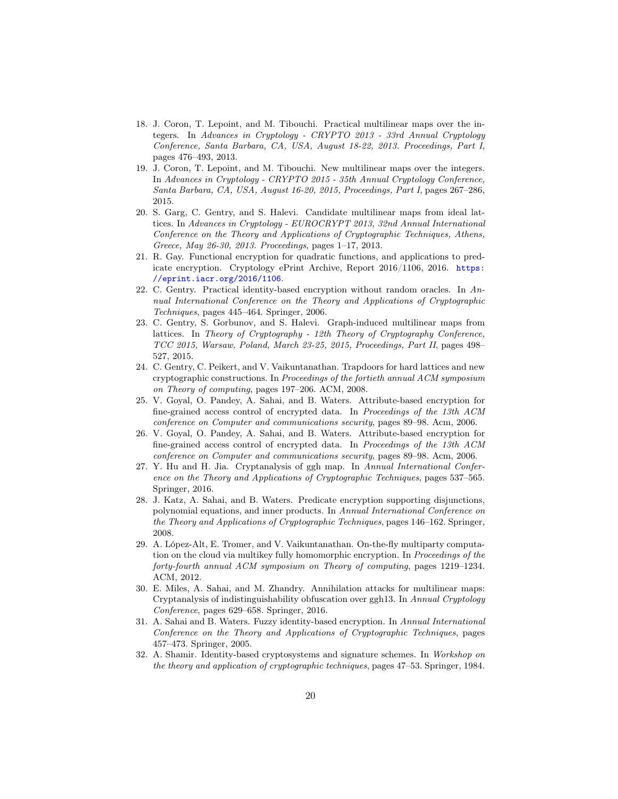- <span id="page-19-4"></span>18. J. Coron, T. Lepoint, and M. Tibouchi. Practical multilinear maps over the integers. In Advances in Cryptology - CRYPTO 2013 - 33rd Annual Cryptology Conference, Santa Barbara, CA, USA, August 18-22, 2013. Proceedings, Part I, pages 476–493, 2013.
- 19. J. Coron, T. Lepoint, and M. Tibouchi. New multilinear maps over the integers. In Advances in Cryptology - CRYPTO 2015 - 35th Annual Cryptology Conference, Santa Barbara, CA, USA, August 16-20, 2015, Proceedings, Part I, pages 267–286, 2015.
- <span id="page-19-5"></span>20. S. Garg, C. Gentry, and S. Halevi. Candidate multilinear maps from ideal lattices. In Advances in Cryptology - EUROCRYPT 2013, 32nd Annual International Conference on the Theory and Applications of Cryptographic Techniques, Athens, Greece, May 26-30, 2013. Proceedings, pages 1–17, 2013.
- <span id="page-19-12"></span>21. R. Gay. Functional encryption for quadratic functions, and applications to predicate encryption. Cryptology ePrint Archive, Report 2016/1106, 2016. [https:](https://eprint.iacr.org/2016/1106) [//eprint.iacr.org/2016/1106](https://eprint.iacr.org/2016/1106).
- <span id="page-19-0"></span>22. C. Gentry. Practical identity-based encryption without random oracles. In Annual International Conference on the Theory and Applications of Cryptographic Techniques, pages 445–464. Springer, 2006.
- <span id="page-19-6"></span>23. C. Gentry, S. Gorbunov, and S. Halevi. Graph-induced multilinear maps from lattices. In Theory of Cryptography - 12th Theory of Cryptography Conference, TCC 2015, Warsaw, Poland, March 23-25, 2015, Proceedings, Part II, pages 498– 527, 2015.
- <span id="page-19-9"></span>24. C. Gentry, C. Peikert, and V. Vaikuntanathan. Trapdoors for hard lattices and new cryptographic constructions. In Proceedings of the fortieth annual ACM symposium on Theory of computing, pages 197–206. ACM, 2008.
- <span id="page-19-1"></span>25. V. Goyal, O. Pandey, A. Sahai, and B. Waters. Attribute-based encryption for fine-grained access control of encrypted data. In Proceedings of the 13th ACM conference on Computer and communications security, pages 89–98. Acm, 2006.
- <span id="page-19-11"></span>26. V. Goyal, O. Pandey, A. Sahai, and B. Waters. Attribute-based encryption for fine-grained access control of encrypted data. In Proceedings of the 13th ACM conference on Computer and communications security, pages 89–98. Acm, 2006.
- <span id="page-19-7"></span>27. Y. Hu and H. Jia. Cryptanalysis of ggh map. In Annual International Conference on the Theory and Applications of Cryptographic Techniques, pages 537–565. Springer, 2016.
- <span id="page-19-10"></span>28. J. Katz, A. Sahai, and B. Waters. Predicate encryption supporting disjunctions, polynomial equations, and inner products. In Annual International Conference on the Theory and Applications of Cryptographic Techniques, pages 146–162. Springer, 2008.
- <span id="page-19-13"></span>29. A. López-Alt, E. Tromer, and V. Vaikuntanathan. On-the-fly multiparty computation on the cloud via multikey fully homomorphic encryption. In Proceedings of the forty-fourth annual ACM symposium on Theory of computing, pages 1219–1234. ACM, 2012.
- <span id="page-19-8"></span>30. E. Miles, A. Sahai, and M. Zhandry. Annihilation attacks for multilinear maps: Cryptanalysis of indistinguishability obfuscation over ggh13. In Annual Cryptology Conference, pages 629–658. Springer, 2016.
- <span id="page-19-2"></span>31. A. Sahai and B. Waters. Fuzzy identity-based encryption. In Annual International Conference on the Theory and Applications of Cryptographic Techniques, pages 457–473. Springer, 2005.
- <span id="page-19-3"></span>32. A. Shamir. Identity-based cryptosystems and signature schemes. In Workshop on the theory and application of cryptographic techniques, pages 47–53. Springer, 1984.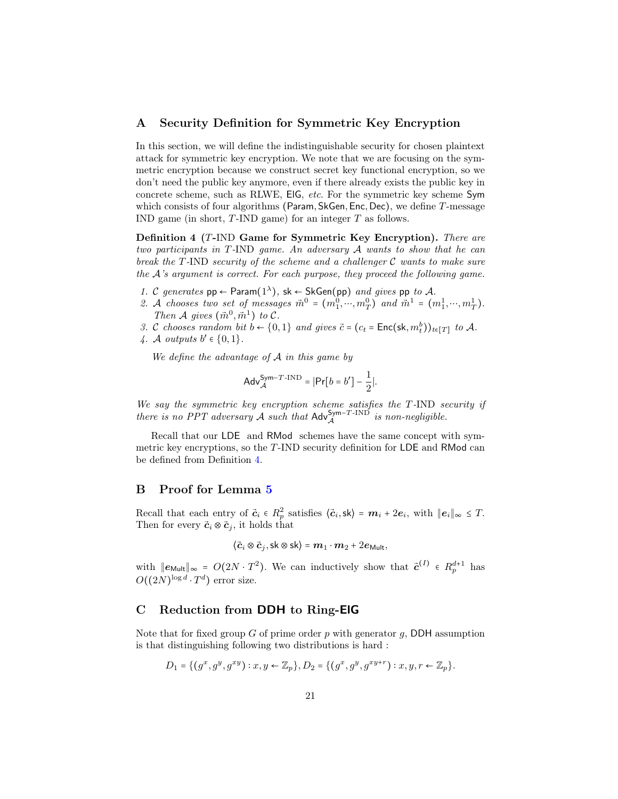## <span id="page-20-0"></span>A Security Definition for Symmetric Key Encryption

In this section, we will define the indistinguishable security for chosen plaintext attack for symmetric key encryption. We note that we are focusing on the symmetric encryption because we construct secret key functional encryption, so we don't need the public key anymore, even if there already exists the public key in concrete scheme, such as RLWE, ElG, etc. For the symmetric key scheme Sym which consists of four algorithms (Param, SkGen, Enc, Dec), we define  $T$ -message IND game (in short, T-IND game) for an integer T as follows.

<span id="page-20-2"></span>Definition 4 (T-IND Game for Symmetric Key Encryption). There are two participants in T-IND game. An adversary A wants to show that he can break the  $T$ -IND security of the scheme and a challenger  $C$  wants to make sure the  $A$ 's argument is correct. For each purpose, they proceed the following game.

- 1. C generates  $pp \leftarrow$  Param $(1^{\lambda})$ , sk  $\leftarrow$  SkGen(pp) and gives pp to A.
- 2. A chooses two set of messages  $\vec{m}^0 = (m_1^0, \dots, m_T^0)$  and  $\vec{m}^1 = (m_1^1, \dots, m_T^1)$ . Then A gives  $(\vec{m}^0, \vec{m}^1)$  to C.
- 3. C chooses random bit  $b \leftarrow \{0, 1\}$  and gives  $\vec{c} = (c_t = \textsf{Enc}(\textsf{sk}, m_t^b))_{t \in [T]}$  to A.
- 4. A outputs  $b' \in \{0,1\}$ .

We define the advantage of  $A$  in this game by

$$
\mathsf{Adv}_{\mathcal{A}}^{\mathsf{Sym}-T\text{-IND}} = |\mathsf{Pr}[b = b'] - \frac{1}{2}|.
$$

We say the symmetric key encryption scheme satisfies the T-IND security if there is no PPT adversary A such that  $\mathsf{Adv}_{\mathcal{A}}^{\mathsf{Sym-T-IND}}$  is non-negligible.

Recall that our LDE and RMod schemes have the same concept with symmetric key encryptions, so the T-IND security definition for LDE and RMod can be defined from Definition [4.](#page-20-2)

## B Proof for Lemma [5](#page-17-1)

Recall that each entry of  $\vec{c}_i \in R_p^2$  satisfies  $\langle \vec{c}_i, \mathsf{sk} \rangle = \mathbf{m}_i + 2\mathbf{e}_i$ , with  $\|\mathbf{e}_i\|_{\infty} \leq T$ . Then for every  $\vec{c}_i \otimes \vec{c}_j$ , it holds that

$$
\langle \vec{c}_i \otimes \vec{c}_j, \mathsf{sk} \otimes \mathsf{sk} \rangle = m_1 \cdot m_2 + 2e_{\mathsf{Mult}},
$$

with  $||e_{\text{Mult}}||_{\infty} = O(2N \cdot T^2)$ . We can inductively show that  $\vec{c}^{(I)} \in R_p^{d+1}$  has  $O((2N)^{\log d} \cdot T^d)$  error size.

# <span id="page-20-1"></span>C Reduction from DDH to Ring-ElG

Note that for fixed group  $G$  of prime order  $p$  with generator  $q$ , DDH assumption is that distinguishing following two distributions is hard :

$$
D_1 = \{ (g^x, g^y, g^{xy}) : x, y \in \mathbb{Z}_p \}, D_2 = \{ (g^x, g^y, g^{xy+r}) : x, y, r \in \mathbb{Z}_p \}.
$$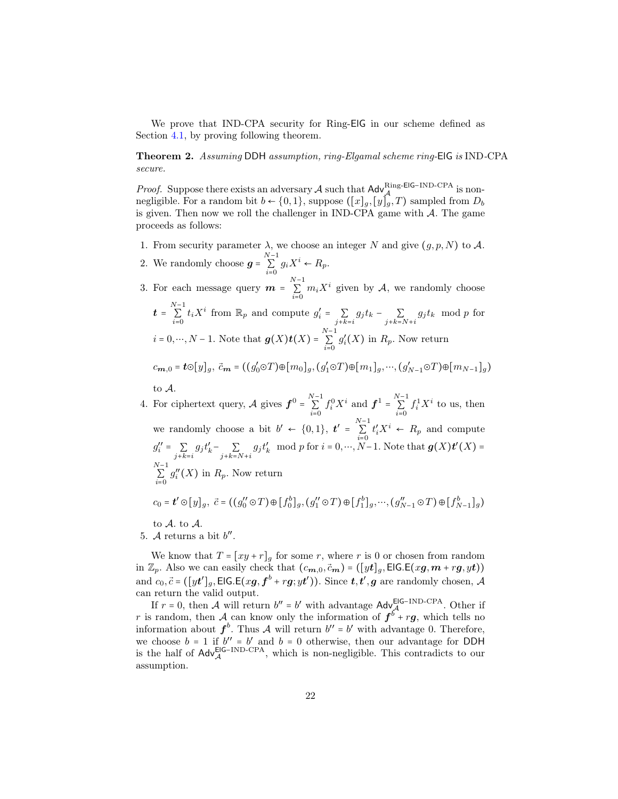We prove that IND-CPA security for Ring-ElG in our scheme defined as Section [4.1,](#page-14-0) by proving following theorem.

Theorem 2. Assuming DDH assumption, ring-Elgamal scheme ring-ElG is IND-CPA secure.

*Proof.* Suppose there exists an adversary A such that  $\mathsf{Adv}_{\mathsf{A}}^{\text{Ring-EIG-IND-CPA}}$  is non-<br>positivities. For a readerability to  $(0,1)$  suppose  $(\mathbb{A}^1, \mathbb{A}^T)$  separated from  $D$ negligible. For a random bit  $b \leftarrow \{0,1\}$ , suppose  $([x]_a, [y]_a, T)$  sampled from  $D_b$ is given. Then now we roll the challenger in IND-CPA game with  $A$ . The game proceeds as follows:

- 1. From security parameter  $\lambda$ , we choose an integer N and give  $(g, p, N)$  to A.
- 2. We randomly choose  $g = \sum_{n=1}^{N-1}$  $i=0$  $g_i X^i \leftarrow R_p.$

3. For each message query  $m = \sum_{i=1}^{N-1} m_i X^i$  given by A, we randomly choose  $i=0$  $t = \sum_{n=1}^{N-1}$  $i=0$  $t_i X^i$  from  $\mathbb{R}_p$  and compute  $g'_i = \sum_{i=1}^n a_i$  $j+k=i$  $g_j t_k$  − ∑  $j+k=N+i$  $g_j t_k \mod p$  for  $i = 0, \dots, N - 1$ . Note that  $g(X)t(X) = \sum_{N=1}^{N-1}$  $i=0$  $g_i'(X)$  in  $R_p$ . Now return  $c_{\bm{m},0} = \bm{t} \odot [y]_g, \ \vec{c}_{\bm{m}} = ((g_0' \odot T) \oplus [m_0]_g, (g_1' \odot T) \oplus [m_1]_g, \cdots, (g_{N-1}' \odot T) \oplus [m_{N-1}]_g)$ 

to A.

4. For ciphertext query,  $\mathcal A$  gives  $\boldsymbol{f}^0 = \sum_{i=1}^{N-1} f_i^0 X^i$  and  $\boldsymbol{f}^1 = \sum_{i=1}^{N-1} f_i^1 X^i$  to us, then  $i=0$   $i=0$ we randomly choose a bit  $b' \leftarrow \{0, 1\}$ ,  $t' = \sum_{i=1}^{N-1}$  $i=0$  $t'_i X^i \leftarrow R_p$  and compute  $g_i'' = \sum_i$  $j+k=i$  $g_j t'_k - \sum_{\lambda}$  $j+k=N+i$  $g_j t'_k \mod p$  for  $i = 0, \dots, N-1$ . Note that  $g(X)t'(X) =$ N−1 ∑  $i=0$  $g''_i(X)$  in  $R_p$ . Now return  $c_0 = t' \odot [y]_g, \ \vec{c} = ((g''_0 \odot T) \oplus [f^b_0]_g, (g''_1 \odot T) \oplus [f^b_1]_g, \cdots, (g''_{N-1} \odot T) \oplus [f^b_{N-1}]_g)$ 

to A. to A.

5. A returns a bit  $b''$ .

We know that  $T = [xy + r]_g$  for some r, where r is 0 or chosen from random in  $\mathbb{Z}_p$ . Also we can easily check that  $(c_{\mathbf{m},0}, \vec{c}_{\mathbf{m}}) = ([yt]_g, \textsf{EIG.E}(x\mathbf{g}, \mathbf{m}+r\mathbf{g}, yt))$ and  $c_0, \vec{c} = (\llbracket y t' \rrbracket_g, \textsf{EIG.E}(xg, f^b + rg; yt'))$ . Since  $t, t', g$  are randomly chosen, A can return the valid output.

If  $r = 0$ , then A will return  $b'' = b'$  with advantage Adv<sup>ElG−IND-CPA</sup>. Other if r is random, then A can know only the information of  $f^{\delta}$ + rg, which tells no information about  $f^b$ . Thus A will return  $b'' = b'$  with advantage 0. Therefore, we choose  $b = 1$  if  $b'' = b'$  and  $b = 0$  otherwise, then our advantage for DDH is the half of  $\mathsf{Adv}_{\mathcal{A}}^{\mathsf{EIG-IND-CPA}}$ , which is non-negligible. This contradicts to our assumption.